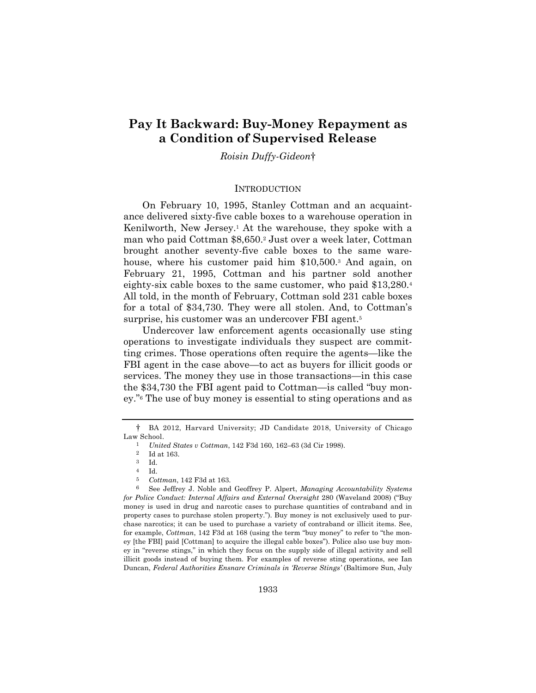# **Pay It Backward: Buy-Money Repayment as a Condition of Supervised Release**

## *Roisin Duffy-Gideon*†

#### **INTRODUCTION**

On February 10, 1995, Stanley Cottman and an acquaintance delivered sixty-five cable boxes to a warehouse operation in Kenilworth, New Jersey.1 At the warehouse, they spoke with a man who paid Cottman \$8,650.2 Just over a week later, Cottman brought another seventy-five cable boxes to the same warehouse, where his customer paid him \$10,500.<sup>3</sup> And again, on February 21, 1995, Cottman and his partner sold another eighty-six cable boxes to the same customer, who paid \$13,280.4 All told, in the month of February, Cottman sold 231 cable boxes for a total of \$34,730. They were all stolen. And, to Cottman's surprise, his customer was an undercover FBI agent.<sup>5</sup>

Undercover law enforcement agents occasionally use sting operations to investigate individuals they suspect are committing crimes. Those operations often require the agents—like the FBI agent in the case above—to act as buyers for illicit goods or services. The money they use in those transactions—in this case the \$34,730 the FBI agent paid to Cottman—is called "buy money."6 The use of buy money is essential to sting operations and as

<sup>†</sup> BA 2012, Harvard University; JD Candidate 2018, University of Chicago Law School.

<sup>1</sup> *United States v Cottman*, 142 F3d 160, 162–63 (3d Cir 1998).

 $\frac{2}{3}$  Id at 163.

<sup>3</sup> Id.

<sup>4</sup> Id.

<sup>5</sup> *Cottman*, 142 F3d at 163.

<sup>6</sup> See Jeffrey J. Noble and Geoffrey P. Alpert, *Managing Accountability Systems for Police Conduct: Internal Affairs and External Oversight* 280 (Waveland 2008) ("Buy money is used in drug and narcotic cases to purchase quantities of contraband and in property cases to purchase stolen property."). Buy money is not exclusively used to purchase narcotics; it can be used to purchase a variety of contraband or illicit items. See, for example, *Cottman*, 142 F3d at 168 (using the term "buy money" to refer to "the money [the FBI] paid [Cottman] to acquire the illegal cable boxes"). Police also use buy money in "reverse stings," in which they focus on the supply side of illegal activity and sell illicit goods instead of buying them. For examples of reverse sting operations, see Ian Duncan, *Federal Authorities Ensnare Criminals in 'Reverse Stings'* (Baltimore Sun, July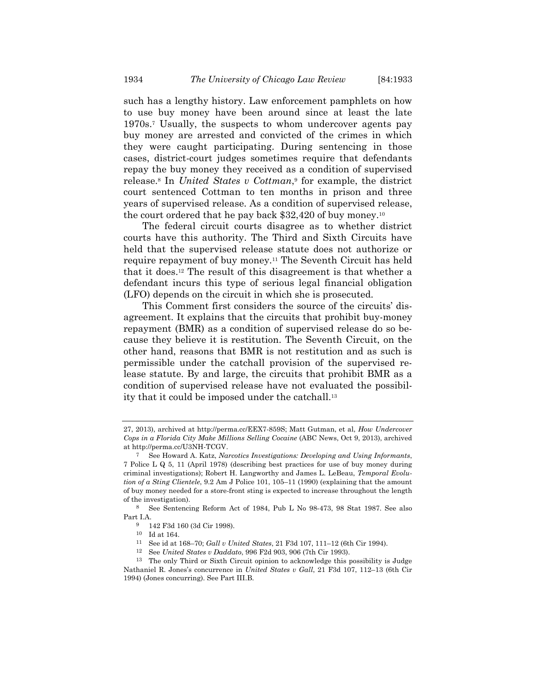such has a lengthy history. Law enforcement pamphlets on how to use buy money have been around since at least the late 1970s.7 Usually, the suspects to whom undercover agents pay buy money are arrested and convicted of the crimes in which they were caught participating. During sentencing in those cases, district-court judges sometimes require that defendants repay the buy money they received as a condition of supervised release.8 In *United States v Cottman*,9 for example, the district court sentenced Cottman to ten months in prison and three years of supervised release. As a condition of supervised release, the court ordered that he pay back \$32,420 of buy money.10

The federal circuit courts disagree as to whether district courts have this authority. The Third and Sixth Circuits have held that the supervised release statute does not authorize or require repayment of buy money.11 The Seventh Circuit has held that it does.12 The result of this disagreement is that whether a defendant incurs this type of serious legal financial obligation (LFO) depends on the circuit in which she is prosecuted.

This Comment first considers the source of the circuits' disagreement. It explains that the circuits that prohibit buy-money repayment (BMR) as a condition of supervised release do so because they believe it is restitution. The Seventh Circuit, on the other hand, reasons that BMR is not restitution and as such is permissible under the catchall provision of the supervised release statute. By and large, the circuits that prohibit BMR as a condition of supervised release have not evaluated the possibility that it could be imposed under the catchall.13

<sup>27, 2013),</sup> archived at http://perma.cc/EEX7-859S; Matt Gutman, et al, *How Undercover Cops in a Florida City Make Millions Selling Cocaine* (ABC News, Oct 9, 2013), archived at http://perma.cc/U3NH-TCGV.

<sup>7</sup> See Howard A. Katz, *Narcotics Investigations: Developing and Using Informants*, 7 Police L Q 5, 11 (April 1978) (describing best practices for use of buy money during criminal investigations); Robert H. Langworthy and James L. LeBeau, *Temporal Evolution of a Sting Clientele*, 9.2 Am J Police 101, 105–11 (1990) (explaining that the amount of buy money needed for a store-front sting is expected to increase throughout the length of the investigation).

<sup>8</sup> See Sentencing Reform Act of 1984, Pub L No 98-473, 98 Stat 1987. See also Part I.A.

<sup>9 142</sup> F3d 160 (3d Cir 1998).

 $^{10}\,$  Id at 164.

<sup>11</sup> See id at 168–70; *Gall v United States*, 21 F3d 107, 111–12 (6th Cir 1994). 12 See *United States v Daddato*, 996 F2d 903, 906 (7th Cir 1993).

<sup>13</sup> The only Third or Sixth Circuit opinion to acknowledge this possibility is Judge Nathaniel R. Jones's concurrence in *United States v Gall*, 21 F3d 107, 112–13 (6th Cir 1994) (Jones concurring). See Part III.B.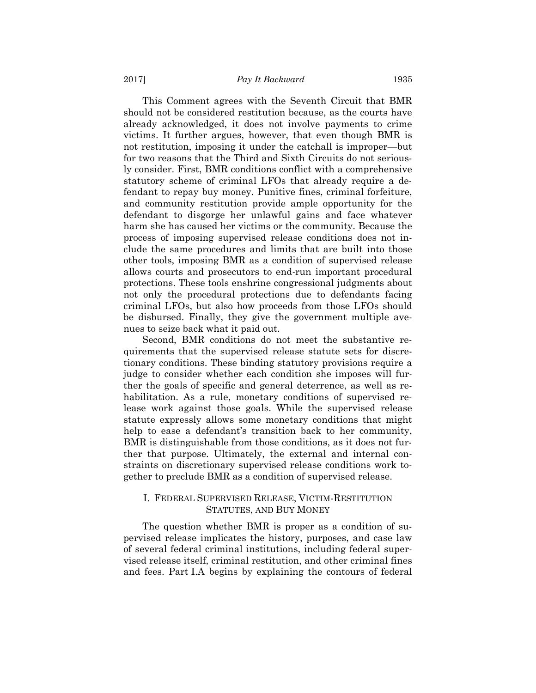This Comment agrees with the Seventh Circuit that BMR should not be considered restitution because, as the courts have already acknowledged, it does not involve payments to crime victims. It further argues, however, that even though BMR is not restitution, imposing it under the catchall is improper—but for two reasons that the Third and Sixth Circuits do not seriously consider. First, BMR conditions conflict with a comprehensive statutory scheme of criminal LFOs that already require a defendant to repay buy money. Punitive fines, criminal forfeiture, and community restitution provide ample opportunity for the defendant to disgorge her unlawful gains and face whatever harm she has caused her victims or the community. Because the process of imposing supervised release conditions does not include the same procedures and limits that are built into those other tools, imposing BMR as a condition of supervised release allows courts and prosecutors to end-run important procedural protections. These tools enshrine congressional judgments about not only the procedural protections due to defendants facing criminal LFOs, but also how proceeds from those LFOs should be disbursed. Finally, they give the government multiple avenues to seize back what it paid out.

Second, BMR conditions do not meet the substantive requirements that the supervised release statute sets for discretionary conditions. These binding statutory provisions require a judge to consider whether each condition she imposes will further the goals of specific and general deterrence, as well as rehabilitation. As a rule, monetary conditions of supervised release work against those goals. While the supervised release statute expressly allows some monetary conditions that might help to ease a defendant's transition back to her community, BMR is distinguishable from those conditions, as it does not further that purpose. Ultimately, the external and internal constraints on discretionary supervised release conditions work together to preclude BMR as a condition of supervised release.

## I. FEDERAL SUPERVISED RELEASE, VICTIM-RESTITUTION STATUTES, AND BUY MONEY

The question whether BMR is proper as a condition of supervised release implicates the history, purposes, and case law of several federal criminal institutions, including federal supervised release itself, criminal restitution, and other criminal fines and fees. Part I.A begins by explaining the contours of federal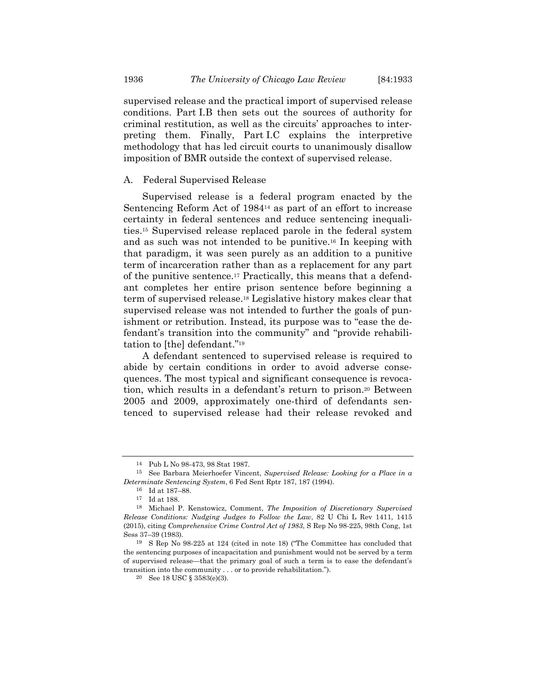supervised release and the practical import of supervised release conditions. Part I.B then sets out the sources of authority for criminal restitution, as well as the circuits' approaches to interpreting them. Finally, Part I.C explains the interpretive methodology that has led circuit courts to unanimously disallow imposition of BMR outside the context of supervised release.

#### A. Federal Supervised Release

Supervised release is a federal program enacted by the Sentencing Reform Act of 198414 as part of an effort to increase certainty in federal sentences and reduce sentencing inequalities.15 Supervised release replaced parole in the federal system and as such was not intended to be punitive.16 In keeping with that paradigm, it was seen purely as an addition to a punitive term of incarceration rather than as a replacement for any part of the punitive sentence.17 Practically, this means that a defendant completes her entire prison sentence before beginning a term of supervised release.18 Legislative history makes clear that supervised release was not intended to further the goals of punishment or retribution. Instead, its purpose was to "ease the defendant's transition into the community" and "provide rehabilitation to [the] defendant."19

A defendant sentenced to supervised release is required to abide by certain conditions in order to avoid adverse consequences. The most typical and significant consequence is revocation, which results in a defendant's return to prison.20 Between 2005 and 2009, approximately one-third of defendants sentenced to supervised release had their release revoked and

<sup>14</sup> Pub L No 98-473, 98 Stat 1987.

<sup>15</sup> See Barbara Meierhoefer Vincent, *Supervised Release: Looking for a Place in a Determinate Sentencing System*, 6 Fed Sent Rptr 187, 187 (1994).

<sup>16</sup> Id at 187–88.

<sup>17</sup> Id at 188.

<sup>18</sup> Michael P. Kenstowicz, Comment, *The Imposition of Discretionary Supervised Release Conditions: Nudging Judges to Follow the Law*, 82 U Chi L Rev 1411, 1415 (2015), citing *Comprehensive Crime Control Act of 1983*, S Rep No 98-225, 98th Cong, 1st Sess 37–39 (1983).

<sup>19</sup> S Rep No 98-225 at 124 (cited in note 18) ("The Committee has concluded that the sentencing purposes of incapacitation and punishment would not be served by a term of supervised release—that the primary goal of such a term is to ease the defendant's transition into the community . . . or to provide rehabilitation.").

<sup>20</sup> See 18 USC § 3583(e)(3).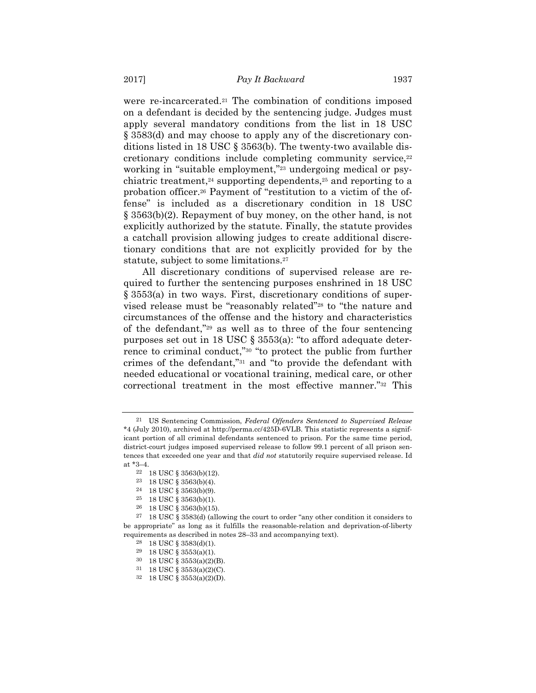were re-incarcerated.21 The combination of conditions imposed on a defendant is decided by the sentencing judge. Judges must apply several mandatory conditions from the list in 18 USC § 3583(d) and may choose to apply any of the discretionary conditions listed in 18 USC § 3563(b). The twenty-two available discretionary conditions include completing community service,<sup>22</sup> working in "suitable employment,"<sup>23</sup> undergoing medical or psychiatric treatment,<sup>24</sup> supporting dependents,<sup>25</sup> and reporting to a probation officer.26 Payment of "restitution to a victim of the offense" is included as a discretionary condition in 18 USC § 3563(b)(2). Repayment of buy money, on the other hand, is not explicitly authorized by the statute. Finally, the statute provides a catchall provision allowing judges to create additional discretionary conditions that are not explicitly provided for by the statute, subject to some limitations.<sup>27</sup>

All discretionary conditions of supervised release are required to further the sentencing purposes enshrined in 18 USC § 3553(a) in two ways. First, discretionary conditions of supervised release must be "reasonably related"28 to "the nature and circumstances of the offense and the history and characteristics of the defendant,"29 as well as to three of the four sentencing purposes set out in 18 USC § 3553(a): "to afford adequate deterrence to criminal conduct,"30 "to protect the public from further crimes of the defendant,"31 and "to provide the defendant with needed educational or vocational training, medical care, or other correctional treatment in the most effective manner."32 This

- 31 18 USC § 3553(a)(2)(C).
- 32 18 USC § 3553(a)(2)(D).

<sup>21</sup> US Sentencing Commission, *Federal Offenders Sentenced to Supervised Release* \*4 (July 2010), archived at http://perma.cc/425D-6VLB. This statistic represents a significant portion of all criminal defendants sentenced to prison. For the same time period, district-court judges imposed supervised release to follow 99.1 percent of all prison sentences that exceeded one year and that *did not* statutorily require supervised release. Id at \*3–4.

<sup>22 18</sup> USC § 3563(b)(12).

<sup>23 18</sup> USC § 3563(b)(4).

<sup>24 18</sup> USC § 3563(b)(9).

<sup>25 18</sup> USC § 3563(b)(1).

<sup>26 18</sup> USC § 3563(b)(15).

<sup>27 18</sup> USC § 3583(d) (allowing the court to order "any other condition it considers to be appropriate" as long as it fulfills the reasonable-relation and deprivation-of-liberty requirements as described in notes 28–33 and accompanying text).

<sup>28 18</sup> USC § 3583(d)(1).

<sup>29 18</sup> USC § 3553(a)(1).

<sup>30 18</sup> USC § 3553(a)(2)(B).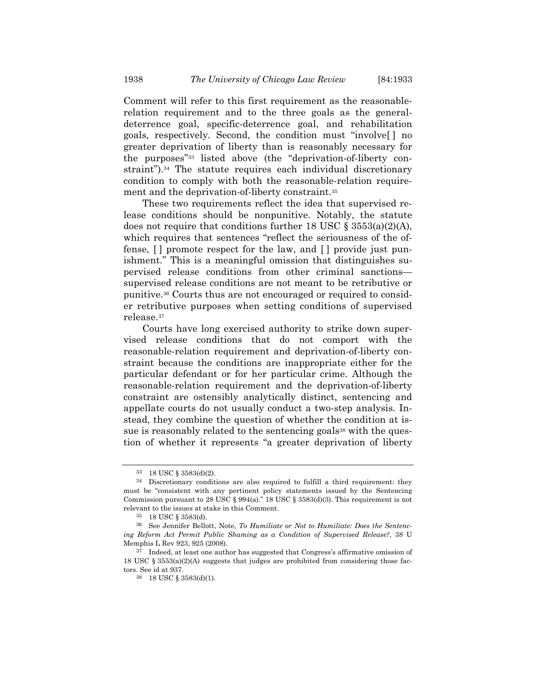Comment will refer to this first requirement as the reasonablerelation requirement and to the three goals as the generaldeterrence goal, specific-deterrence goal, and rehabilitation goals, respectively. Second, the condition must "involve[ ] no greater deprivation of liberty than is reasonably necessary for the purposes"33 listed above (the "deprivation-of-liberty constraint").<sup>34</sup> The statute requires each individual discretionary condition to comply with both the reasonable-relation requirement and the deprivation-of-liberty constraint.35

These two requirements reflect the idea that supervised release conditions should be nonpunitive. Notably, the statute does not require that conditions further 18 USC  $\S 3553(a)(2)(A)$ , which requires that sentences "reflect the seriousness of the offense, [ ] promote respect for the law, and [ ] provide just punishment." This is a meaningful omission that distinguishes supervised release conditions from other criminal sanctions supervised release conditions are not meant to be retributive or punitive.36 Courts thus are not encouraged or required to consider retributive purposes when setting conditions of supervised release.37

Courts have long exercised authority to strike down supervised release conditions that do not comport with the reasonable-relation requirement and deprivation-of-liberty constraint because the conditions are inappropriate either for the particular defendant or for her particular crime. Although the reasonable-relation requirement and the deprivation-of-liberty constraint are ostensibly analytically distinct, sentencing and appellate courts do not usually conduct a two-step analysis. Instead, they combine the question of whether the condition at issue is reasonably related to the sentencing goals<sup>38</sup> with the question of whether it represents "a greater deprivation of liberty

<sup>33 18</sup> USC § 3583(d)(2).

<sup>34</sup> Discretionary conditions are also required to fulfill a third requirement: they must be "consistent with any pertinent policy statements issued by the Sentencing Commission pursuant to 28 USC § 994(a)." 18 USC § 3583(d)(3). This requirement is not relevant to the issues at stake in this Comment.

<sup>35 18</sup> USC § 3583(d).

<sup>36</sup> See Jennifer Bellott, Note, *To Humiliate or Not to Humiliate: Does the Sentencing Reform Act Permit Public Shaming as a Condition of Supervised Release?*, 38 U Memphis L Rev 923, 925 (2008).

<sup>37</sup> Indeed, at least one author has suggested that Congress's affirmative omission of 18 USC  $\S$  3553(a)(2)(A) suggests that judges are prohibited from considering those factors. See id at 937.

<sup>38 18</sup> USC § 3583(d)(1).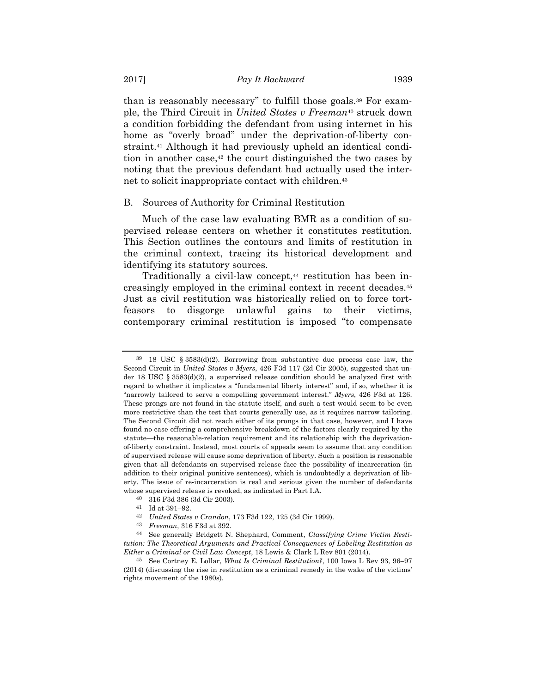than is reasonably necessary" to fulfill those goals.39 For example, the Third Circuit in *United States v Freeman*40 struck down a condition forbidding the defendant from using internet in his home as "overly broad" under the deprivation-of-liberty constraint.<sup>41</sup> Although it had previously upheld an identical condition in another case, $42$  the court distinguished the two cases by noting that the previous defendant had actually used the internet to solicit inappropriate contact with children.<sup>43</sup>

#### B. Sources of Authority for Criminal Restitution

Much of the case law evaluating BMR as a condition of supervised release centers on whether it constitutes restitution. This Section outlines the contours and limits of restitution in the criminal context, tracing its historical development and identifying its statutory sources.

Traditionally a civil-law concept,<sup>44</sup> restitution has been increasingly employed in the criminal context in recent decades.45 Just as civil restitution was historically relied on to force tortfeasors to disgorge unlawful gains to their victims, contemporary criminal restitution is imposed "to compensate

<sup>39 18</sup> USC § 3583(d)(2). Borrowing from substantive due process case law, the Second Circuit in *United States v Myers*, 426 F3d 117 (2d Cir 2005), suggested that under 18 USC § 3583(d)(2), a supervised release condition should be analyzed first with regard to whether it implicates a "fundamental liberty interest" and, if so, whether it is "narrowly tailored to serve a compelling government interest." *Myers*, 426 F3d at 126. These prongs are not found in the statute itself, and such a test would seem to be even more restrictive than the test that courts generally use, as it requires narrow tailoring. The Second Circuit did not reach either of its prongs in that case, however, and I have found no case offering a comprehensive breakdown of the factors clearly required by the statute—the reasonable-relation requirement and its relationship with the deprivationof-liberty constraint. Instead, most courts of appeals seem to assume that any condition of supervised release will cause some deprivation of liberty. Such a position is reasonable given that all defendants on supervised release face the possibility of incarceration (in addition to their original punitive sentences), which is undoubtedly a deprivation of liberty. The issue of re-incarceration is real and serious given the number of defendants whose supervised release is revoked, as indicated in Part I.A.

<sup>40 316</sup> F3d 386 (3d Cir 2003).

<sup>41</sup> Id at 391–92.

<sup>42</sup> *United States v Crandon*, 173 F3d 122, 125 (3d Cir 1999). 43 *Freeman*, 316 F3d at 392.

<sup>44</sup> See generally Bridgett N. Shephard, Comment, *Classifying Crime Victim Restitution: The Theoretical Arguments and Practical Consequences of Labeling Restitution as Either a Criminal or Civil Law Concept*, 18 Lewis & Clark L Rev 801 (2014).

<sup>45</sup> See Cortney E. Lollar, *What Is Criminal Restitution?*, 100 Iowa L Rev 93, 96–97 (2014) (discussing the rise in restitution as a criminal remedy in the wake of the victims' rights movement of the 1980s).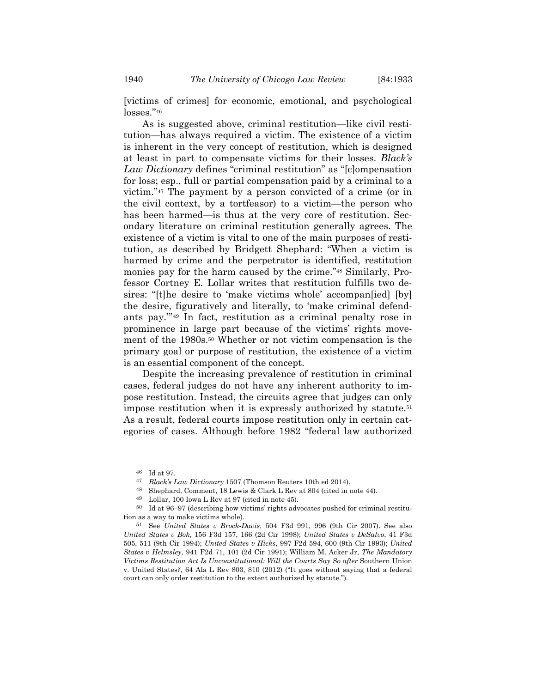[victims of crimes] for economic, emotional, and psychological losses."46

As is suggested above, criminal restitution—like civil restitution—has always required a victim. The existence of a victim is inherent in the very concept of restitution, which is designed at least in part to compensate victims for their losses. *Black's Law Dictionary* defines "criminal restitution" as "[c]ompensation for loss; esp., full or partial compensation paid by a criminal to a victim."47 The payment by a person convicted of a crime (or in the civil context, by a tortfeasor) to a victim—the person who has been harmed—is thus at the very core of restitution. Secondary literature on criminal restitution generally agrees. The existence of a victim is vital to one of the main purposes of restitution, as described by Bridgett Shephard: "When a victim is harmed by crime and the perpetrator is identified, restitution monies pay for the harm caused by the crime."48 Similarly, Professor Cortney E. Lollar writes that restitution fulfills two desires: "[t]he desire to 'make victims whole' accompan[ied] [by] the desire, figuratively and literally, to 'make criminal defendants pay.'"49 In fact, restitution as a criminal penalty rose in prominence in large part because of the victims' rights movement of the 1980s.50 Whether or not victim compensation is the primary goal or purpose of restitution, the existence of a victim is an essential component of the concept.

Despite the increasing prevalence of restitution in criminal cases, federal judges do not have any inherent authority to impose restitution. Instead, the circuits agree that judges can only impose restitution when it is expressly authorized by statute.<sup>51</sup> As a result, federal courts impose restitution only in certain categories of cases. Although before 1982 "federal law authorized

<sup>46</sup> Id at 97.

<sup>47</sup> *Black's Law Dictionary* 1507 (Thomson Reuters 10th ed 2014).

<sup>48</sup> Shephard, Comment, 18 Lewis & Clark L Rev at 804 (cited in note 44).

<sup>49</sup> Lollar, 100 Iowa L Rev at 97 (cited in note 45).

<sup>50</sup> Id at 96–97 (describing how victims' rights advocates pushed for criminal restitution as a way to make victims whole).

<sup>51</sup> See *United States v Brock-Davis*, 504 F3d 991, 996 (9th Cir 2007). See also *United States v Bok*, 156 F3d 157, 166 (2d Cir 1998); *United States v DeSalvo*, 41 F3d 505, 511 (9th Cir 1994); *United States v Hicks*, 997 F2d 594, 600 (9th Cir 1993); *United States v Helmsley*, 941 F2d 71, 101 (2d Cir 1991); William M. Acker Jr, *The Mandatory Victims Restitution Act Is Unconstitutional: Will the Courts Say So after Southern Union* v. United States*?*, 64 Ala L Rev 803, 810 (2012) ("It goes without saying that a federal court can only order restitution to the extent authorized by statute.").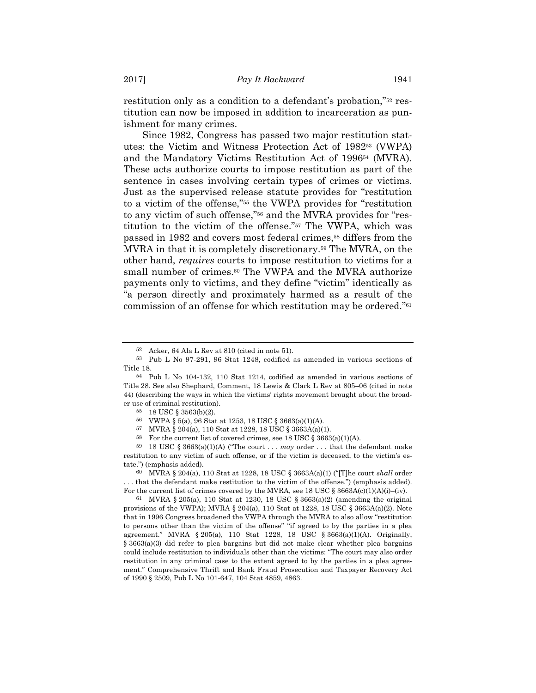restitution only as a condition to a defendant's probation,"52 restitution can now be imposed in addition to incarceration as punishment for many crimes.

Since 1982, Congress has passed two major restitution statutes: the Victim and Witness Protection Act of 198253 (VWPA) and the Mandatory Victims Restitution Act of 199654 (MVRA). These acts authorize courts to impose restitution as part of the sentence in cases involving certain types of crimes or victims. Just as the supervised release statute provides for "restitution to a victim of the offense,"55 the VWPA provides for "restitution to any victim of such offense,"56 and the MVRA provides for "restitution to the victim of the offense."57 The VWPA, which was passed in 1982 and covers most federal crimes,58 differs from the MVRA in that it is completely discretionary.59 The MVRA, on the other hand, *requires* courts to impose restitution to victims for a small number of crimes.<sup>60</sup> The VWPA and the MVRA authorize payments only to victims, and they define "victim" identically as "a person directly and proximately harmed as a result of the commission of an offense for which restitution may be ordered."61

60 MVRA § 204(a), 110 Stat at 1228, 18 USC § 3663A(a)(1) ("[T]he court *shall* order . . . that the defendant make restitution to the victim of the offense.") (emphasis added). For the current list of crimes covered by the MVRA, see 18 USC  $\S 3663A(c)(1)(A)(i)–(iv).$ 

61 MVRA § 205(a), 110 Stat at 1230, 18 USC § 3663(a)(2) (amending the original provisions of the VWPA); MVRA  $\S 204(a)$ , 110 Stat at 1228, 18 USC  $\S 3663A(a)(2)$ . Note that in 1996 Congress broadened the VWPA through the MVRA to also allow "restitution to persons other than the victim of the offense" "if agreed to by the parties in a plea agreement." MVRA § 205(a), 110 Stat 1228, 18 USC § 3663(a)(1)(A). Originally, § 3663(a)(3) did refer to plea bargains but did not make clear whether plea bargains could include restitution to individuals other than the victims: "The court may also order restitution in any criminal case to the extent agreed to by the parties in a plea agreement." Comprehensive Thrift and Bank Fraud Prosecution and Taxpayer Recovery Act of 1990 § 2509, Pub L No 101-647, 104 Stat 4859, 4863.

<sup>52</sup> Acker, 64 Ala L Rev at 810 (cited in note 51).

<sup>53</sup> Pub L No 97-291, 96 Stat 1248, codified as amended in various sections of Title 18.

<sup>54</sup> Pub L No 104-132, 110 Stat 1214, codified as amended in various sections of Title 28. See also Shephard, Comment, 18 Lewis & Clark L Rev at 805–06 (cited in note 44) (describing the ways in which the victims' rights movement brought about the broader use of criminal restitution).

<sup>55 18</sup> USC § 3563(b)(2).

<sup>56</sup> VWPA § 5(a), 96 Stat at 1253, 18 USC § 3663(a)(1)(A).

<sup>57</sup> MVRA § 204(a), 110 Stat at 1228, 18 USC § 3663A(a)(1).

<sup>&</sup>lt;sup>58</sup> For the current list of covered crimes, see 18 USC § 3663(a)(1)(A).<br><sup>59</sup> 18 USC § 3663(a)(1)(A) ("The court . . . *may* order . . . that the defendant make restitution to any victim of such offense, or if the victim is deceased, to the victim's estate.") (emphasis added).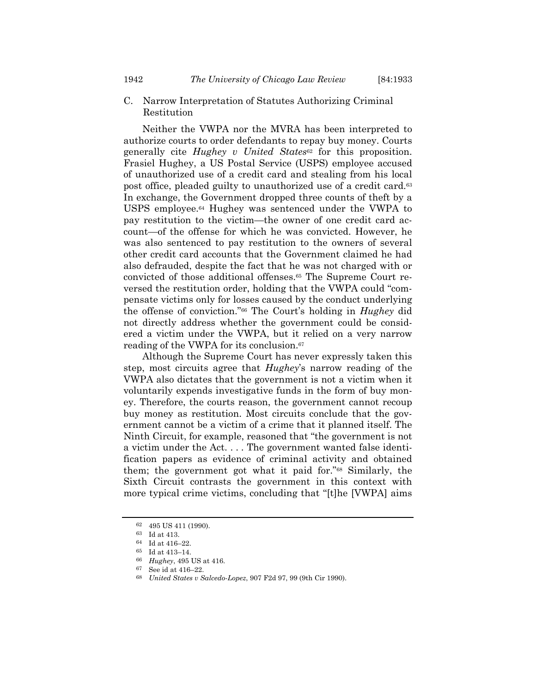#### C. Narrow Interpretation of Statutes Authorizing Criminal Restitution

Neither the VWPA nor the MVRA has been interpreted to authorize courts to order defendants to repay buy money. Courts generally cite *Hughey v United States*62 for this proposition. Frasiel Hughey, a US Postal Service (USPS) employee accused of unauthorized use of a credit card and stealing from his local post office, pleaded guilty to unauthorized use of a credit card.<sup>63</sup> In exchange, the Government dropped three counts of theft by a USPS employee.64 Hughey was sentenced under the VWPA to pay restitution to the victim—the owner of one credit card account—of the offense for which he was convicted. However, he was also sentenced to pay restitution to the owners of several other credit card accounts that the Government claimed he had also defrauded, despite the fact that he was not charged with or convicted of those additional offenses.65 The Supreme Court reversed the restitution order, holding that the VWPA could "compensate victims only for losses caused by the conduct underlying the offense of conviction."66 The Court's holding in *Hughey* did not directly address whether the government could be considered a victim under the VWPA, but it relied on a very narrow reading of the VWPA for its conclusion.67

Although the Supreme Court has never expressly taken this step, most circuits agree that *Hughey*'s narrow reading of the VWPA also dictates that the government is not a victim when it voluntarily expends investigative funds in the form of buy money. Therefore, the courts reason, the government cannot recoup buy money as restitution. Most circuits conclude that the government cannot be a victim of a crime that it planned itself. The Ninth Circuit, for example, reasoned that "the government is not a victim under the Act. . . . The government wanted false identification papers as evidence of criminal activity and obtained them; the government got what it paid for."68 Similarly, the Sixth Circuit contrasts the government in this context with more typical crime victims, concluding that "[t]he [VWPA] aims

<sup>62 495</sup> US 411 (1990).

<sup>63</sup> Id at 413.

<sup>64</sup> Id at 416–22.

<sup>65</sup> Id at 413–14.

<sup>66</sup> *Hughey*, 495 US at 416.

<sup>67</sup> See id at 416–22.

<sup>68</sup> *United States v Salcedo-Lopez*, 907 F2d 97, 99 (9th Cir 1990).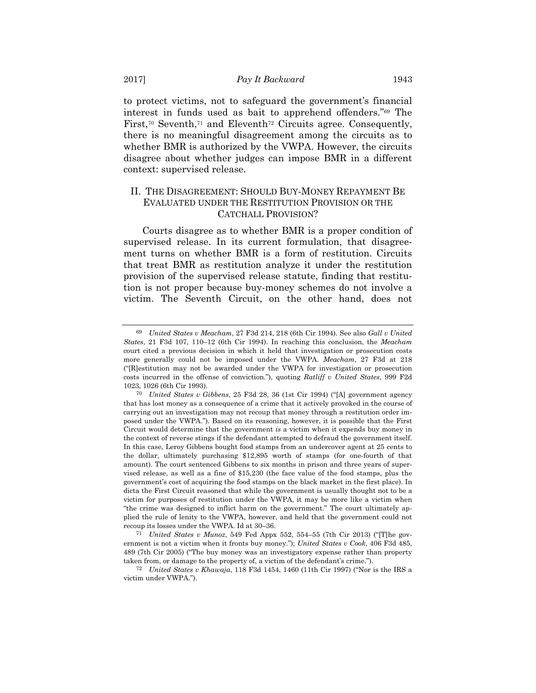to protect victims, not to safeguard the government's financial interest in funds used as bait to apprehend offenders."69 The First,<sup>70</sup> Seventh,<sup>71</sup> and Eleventh<sup>72</sup> Circuits agree. Consequently, there is no meaningful disagreement among the circuits as to whether BMR is authorized by the VWPA. However, the circuits disagree about whether judges can impose BMR in a different context: supervised release.

## II. THE DISAGREEMENT: SHOULD BUY-MONEY REPAYMENT BE EVALUATED UNDER THE RESTITUTION PROVISION OR THE CATCHALL PROVISION?

Courts disagree as to whether BMR is a proper condition of supervised release. In its current formulation, that disagreement turns on whether BMR is a form of restitution. Circuits that treat BMR as restitution analyze it under the restitution provision of the supervised release statute, finding that restitution is not proper because buy-money schemes do not involve a victim. The Seventh Circuit, on the other hand, does not

71 *United States v Munoz*, 549 Fed Appx 552, 554–55 (7th Cir 2013) ("[T]he government is not a victim when it fronts buy money."); *United States v Cook*, 406 F3d 485, 489 (7th Cir 2005) ("The buy money was an investigatory expense rather than property taken from, or damage to the property of, a victim of the defendant's crime.").

72 *United States v Khawaja*, 118 F3d 1454, 1460 (11th Cir 1997) ("Nor is the IRS a victim under VWPA.").

<sup>69</sup> *United States v Meacham*, 27 F3d 214, 218 (6th Cir 1994). See also *Gall v United States*, 21 F3d 107, 110–12 (6th Cir 1994). In reaching this conclusion, the *Meacham* court cited a previous decision in which it held that investigation or prosecution costs more generally could not be imposed under the VWPA. *Meacham*, 27 F3d at 218 ("[R]estitution may not be awarded under the VWPA for investigation or prosecution costs incurred in the offense of conviction."), quoting *Ratliff v United States*, 999 F2d 1023, 1026 (6th Cir 1993).

<sup>70</sup> *United States v Gibbens*, 25 F3d 28, 36 (1st Cir 1994) ("[A] government agency that has lost money as a consequence of a crime that it actively provoked in the course of carrying out an investigation may not recoup that money through a restitution order imposed under the VWPA."). Based on its reasoning, however, it is possible that the First Circuit would determine that the government *is* a victim when it expends buy money in the context of reverse stings if the defendant attempted to defraud the government itself. In this case, Leroy Gibbens bought food stamps from an undercover agent at 25 cents to the dollar, ultimately purchasing \$12,895 worth of stamps (for one-fourth of that amount). The court sentenced Gibbens to six months in prison and three years of supervised release, as well as a fine of \$15,230 (the face value of the food stamps, plus the government's cost of acquiring the food stamps on the black market in the first place). In dicta the First Circuit reasoned that while the government is usually thought not to be a victim for purposes of restitution under the VWPA, it may be more like a victim when "the crime was designed to inflict harm on the government." The court ultimately applied the rule of lenity to the VWPA, however, and held that the government could not recoup its losses under the VWPA. Id at 30–36.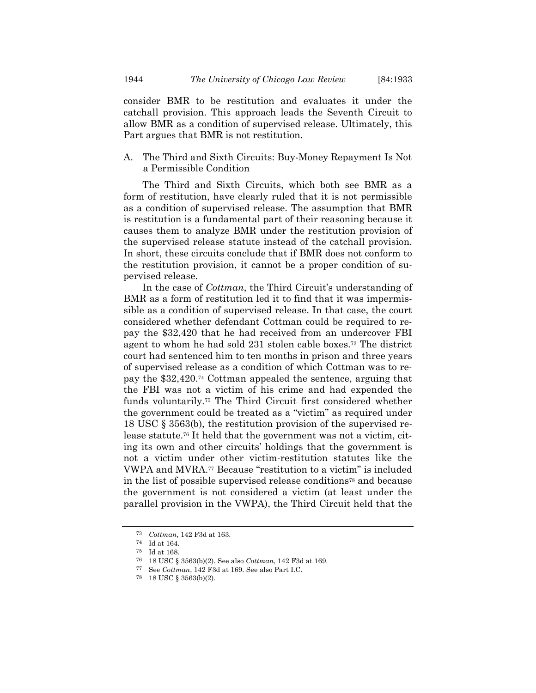consider BMR to be restitution and evaluates it under the catchall provision. This approach leads the Seventh Circuit to allow BMR as a condition of supervised release. Ultimately, this Part argues that BMR is not restitution.

A. The Third and Sixth Circuits: Buy-Money Repayment Is Not a Permissible Condition

The Third and Sixth Circuits, which both see BMR as a form of restitution, have clearly ruled that it is not permissible as a condition of supervised release. The assumption that BMR is restitution is a fundamental part of their reasoning because it causes them to analyze BMR under the restitution provision of the supervised release statute instead of the catchall provision. In short, these circuits conclude that if BMR does not conform to the restitution provision, it cannot be a proper condition of supervised release.

In the case of *Cottman*, the Third Circuit's understanding of BMR as a form of restitution led it to find that it was impermissible as a condition of supervised release. In that case, the court considered whether defendant Cottman could be required to repay the \$32,420 that he had received from an undercover FBI agent to whom he had sold 231 stolen cable boxes.73 The district court had sentenced him to ten months in prison and three years of supervised release as a condition of which Cottman was to repay the \$32,420.74 Cottman appealed the sentence, arguing that the FBI was not a victim of his crime and had expended the funds voluntarily.75 The Third Circuit first considered whether the government could be treated as a "victim" as required under 18 USC § 3563(b), the restitution provision of the supervised release statute.76 It held that the government was not a victim, citing its own and other circuits' holdings that the government is not a victim under other victim-restitution statutes like the VWPA and MVRA.77 Because "restitution to a victim" is included in the list of possible supervised release conditions78 and because the government is not considered a victim (at least under the parallel provision in the VWPA), the Third Circuit held that the

<sup>73</sup> *Cottman*, 142 F3d at 163.

<sup>74</sup> Id at 164.

<sup>75</sup> Id at 168.

<sup>76 18</sup> USC § 3563(b)(2). See also *Cottman*, 142 F3d at 169.

<sup>77</sup> See *Cottman*, 142 F3d at 169. See also Part I.C.

<sup>78 18</sup> USC § 3563(b)(2).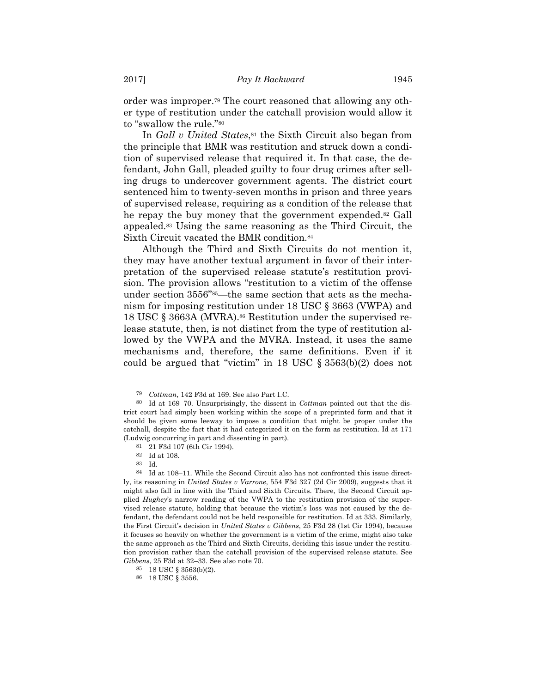order was improper.79 The court reasoned that allowing any other type of restitution under the catchall provision would allow it to "swallow the rule."80

In *Gall v United States*,<sup>81</sup> the Sixth Circuit also began from the principle that BMR was restitution and struck down a condition of supervised release that required it. In that case, the defendant, John Gall, pleaded guilty to four drug crimes after selling drugs to undercover government agents. The district court sentenced him to twenty-seven months in prison and three years of supervised release, requiring as a condition of the release that he repay the buy money that the government expended.82 Gall appealed.83 Using the same reasoning as the Third Circuit, the Sixth Circuit vacated the BMR condition.84

Although the Third and Sixth Circuits do not mention it, they may have another textual argument in favor of their interpretation of the supervised release statute's restitution provision. The provision allows "restitution to a victim of the offense under section 3556"<sup>85</sup>—the same section that acts as the mechanism for imposing restitution under 18 USC § 3663 (VWPA) and 18 USC § 3663A (MVRA).86 Restitution under the supervised release statute, then, is not distinct from the type of restitution allowed by the VWPA and the MVRA. Instead, it uses the same mechanisms and, therefore, the same definitions. Even if it could be argued that "victim" in 18 USC § 3563(b)(2) does not

<sup>79</sup> *Cottman*, 142 F3d at 169. See also Part I.C.

<sup>80</sup> Id at 169–70. Unsurprisingly, the dissent in *Cottman* pointed out that the district court had simply been working within the scope of a preprinted form and that it should be given some leeway to impose a condition that might be proper under the catchall, despite the fact that it had categorized it on the form as restitution. Id at 171 (Ludwig concurring in part and dissenting in part).

<sup>81 21</sup> F3d 107 (6th Cir 1994).

<sup>82</sup> Id at 108.

<sup>83</sup> Id.

<sup>84</sup> Id at 108–11. While the Second Circuit also has not confronted this issue directly, its reasoning in *United States v Varrone*, 554 F3d 327 (2d Cir 2009), suggests that it might also fall in line with the Third and Sixth Circuits. There, the Second Circuit applied *Hughey*'s narrow reading of the VWPA to the restitution provision of the supervised release statute, holding that because the victim's loss was not caused by the defendant, the defendant could not be held responsible for restitution. Id at 333. Similarly, the First Circuit's decision in *United States v Gibbens*, 25 F3d 28 (1st Cir 1994), because it focuses so heavily on whether the government is a victim of the crime, might also take the same approach as the Third and Sixth Circuits, deciding this issue under the restitution provision rather than the catchall provision of the supervised release statute. See *Gibbens*, 25 F3d at 32–33. See also note 70.

<sup>85 18</sup> USC § 3563(b)(2).

<sup>86 18</sup> USC § 3556.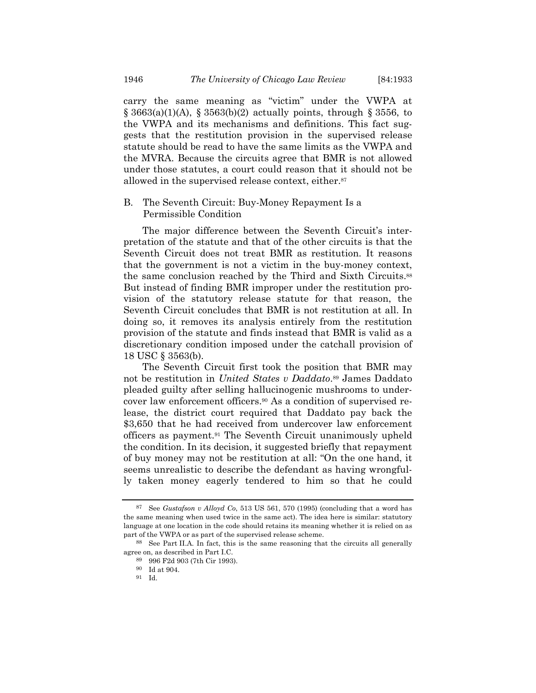carry the same meaning as "victim" under the VWPA at  $\S$  3663(a)(1)(A),  $\S$  3563(b)(2) actually points, through  $\S$  3556, to the VWPA and its mechanisms and definitions. This fact suggests that the restitution provision in the supervised release statute should be read to have the same limits as the VWPA and the MVRA. Because the circuits agree that BMR is not allowed under those statutes, a court could reason that it should not be allowed in the supervised release context, either.87

#### B. The Seventh Circuit: Buy-Money Repayment Is a Permissible Condition

The major difference between the Seventh Circuit's interpretation of the statute and that of the other circuits is that the Seventh Circuit does not treat BMR as restitution. It reasons that the government is not a victim in the buy-money context, the same conclusion reached by the Third and Sixth Circuits.88 But instead of finding BMR improper under the restitution provision of the statutory release statute for that reason, the Seventh Circuit concludes that BMR is not restitution at all. In doing so, it removes its analysis entirely from the restitution provision of the statute and finds instead that BMR is valid as a discretionary condition imposed under the catchall provision of 18 USC § 3563(b).

The Seventh Circuit first took the position that BMR may not be restitution in *United States v Daddato*.89 James Daddato pleaded guilty after selling hallucinogenic mushrooms to undercover law enforcement officers.90 As a condition of supervised release, the district court required that Daddato pay back the \$3,650 that he had received from undercover law enforcement officers as payment.91 The Seventh Circuit unanimously upheld the condition. In its decision, it suggested briefly that repayment of buy money may not be restitution at all: "On the one hand, it seems unrealistic to describe the defendant as having wrongfully taken money eagerly tendered to him so that he could

<sup>87</sup> See *Gustafson v Alloyd Co*, 513 US 561, 570 (1995) (concluding that a word has the same meaning when used twice in the same act). The idea here is similar: statutory language at one location in the code should retains its meaning whether it is relied on as part of the VWPA or as part of the supervised release scheme.

<sup>88</sup> See Part II.A. In fact, this is the same reasoning that the circuits all generally agree on, as described in Part I.C.

<sup>89 996</sup> F2d 903 (7th Cir 1993).

<sup>90</sup> Id at 904.

<sup>91</sup> Id.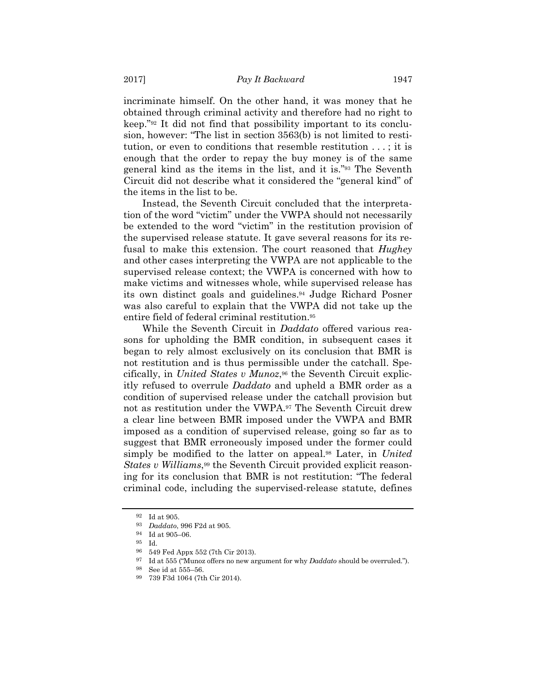incriminate himself. On the other hand, it was money that he obtained through criminal activity and therefore had no right to keep."92 It did not find that possibility important to its conclusion, however: "The list in section 3563(b) is not limited to restitution, or even to conditions that resemble restitution . . . ; it is enough that the order to repay the buy money is of the same general kind as the items in the list, and it is."93 The Seventh Circuit did not describe what it considered the "general kind" of the items in the list to be.

Instead, the Seventh Circuit concluded that the interpretation of the word "victim" under the VWPA should not necessarily be extended to the word "victim" in the restitution provision of the supervised release statute. It gave several reasons for its refusal to make this extension. The court reasoned that *Hughey* and other cases interpreting the VWPA are not applicable to the supervised release context; the VWPA is concerned with how to make victims and witnesses whole, while supervised release has its own distinct goals and guidelines.94 Judge Richard Posner was also careful to explain that the VWPA did not take up the entire field of federal criminal restitution.95

While the Seventh Circuit in *Daddato* offered various reasons for upholding the BMR condition, in subsequent cases it began to rely almost exclusively on its conclusion that BMR is not restitution and is thus permissible under the catchall. Specifically, in *United States v Munoz*,<sup>96</sup> the Seventh Circuit explicitly refused to overrule *Daddato* and upheld a BMR order as a condition of supervised release under the catchall provision but not as restitution under the VWPA.97 The Seventh Circuit drew a clear line between BMR imposed under the VWPA and BMR imposed as a condition of supervised release, going so far as to suggest that BMR erroneously imposed under the former could simply be modified to the latter on appeal.98 Later, in *United States v Williams*,<sup>99</sup> the Seventh Circuit provided explicit reasoning for its conclusion that BMR is not restitution: "The federal criminal code, including the supervised-release statute, defines

<sup>92</sup> Id at 905.

<sup>93</sup> *Daddato*, 996 F2d at 905.

<sup>94</sup> Id at 905–06.

<sup>95</sup> Id.

<sup>96 549</sup> Fed Appx 552 (7th Cir 2013).

<sup>97</sup> Id at 555 ("Munoz offers no new argument for why *Daddato* should be overruled.").

<sup>98</sup> See id at 555–56.

<sup>99 739</sup> F3d 1064 (7th Cir 2014).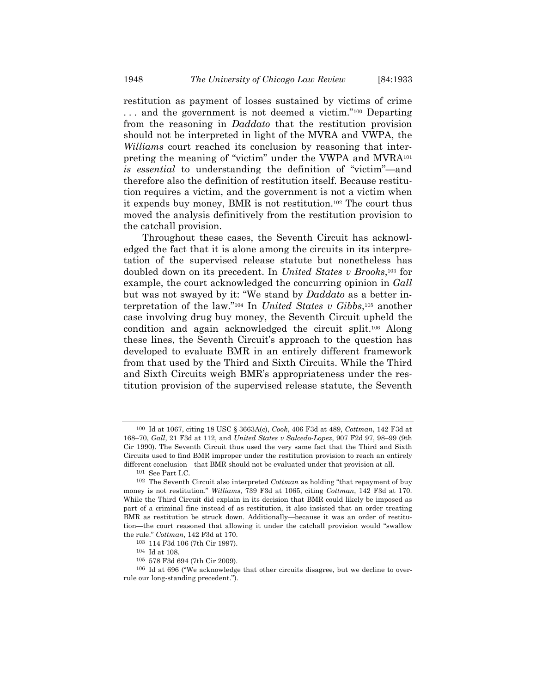restitution as payment of losses sustained by victims of crime . . . and the government is not deemed a victim."100 Departing from the reasoning in *Daddato* that the restitution provision should not be interpreted in light of the MVRA and VWPA, the *Williams* court reached its conclusion by reasoning that interpreting the meaning of "victim" under the VWPA and MVRA101 *is essential* to understanding the definition of "victim"—and therefore also the definition of restitution itself. Because restitution requires a victim, and the government is not a victim when it expends buy money, BMR is not restitution.102 The court thus moved the analysis definitively from the restitution provision to the catchall provision.

Throughout these cases, the Seventh Circuit has acknowledged the fact that it is alone among the circuits in its interpretation of the supervised release statute but nonetheless has doubled down on its precedent. In *United States v Brooks*,103 for example, the court acknowledged the concurring opinion in *Gall* but was not swayed by it: "We stand by *Daddato* as a better interpretation of the law."104 In *United States v Gibbs*,105 another case involving drug buy money, the Seventh Circuit upheld the condition and again acknowledged the circuit split.106 Along these lines, the Seventh Circuit's approach to the question has developed to evaluate BMR in an entirely different framework from that used by the Third and Sixth Circuits. While the Third and Sixth Circuits weigh BMR's appropriateness under the restitution provision of the supervised release statute, the Seventh

<sup>100</sup> Id at 1067, citing 18 USC § 3663A(c), *Cook*, 406 F3d at 489, *Cottman*, 142 F3d at 168–70, *Gall*, 21 F3d at 112, and *United States v Salcedo-Lopez*, 907 F2d 97, 98–99 (9th Cir 1990). The Seventh Circuit thus used the very same fact that the Third and Sixth Circuits used to find BMR improper under the restitution provision to reach an entirely different conclusion—that BMR should not be evaluated under that provision at all.

<sup>101</sup> See Part I.C.

<sup>102</sup> The Seventh Circuit also interpreted *Cottman* as holding "that repayment of buy money is not restitution." *Williams*, 739 F3d at 1065, citing *Cottman*, 142 F3d at 170. While the Third Circuit did explain in its decision that BMR could likely be imposed as part of a criminal fine instead of as restitution, it also insisted that an order treating BMR as restitution be struck down. Additionally—because it was an order of restitution—the court reasoned that allowing it under the catchall provision would "swallow the rule." *Cottman*, 142 F3d at 170.

<sup>103 114</sup> F3d 106 (7th Cir 1997). 104 Id at 108.

<sup>105 578</sup> F3d 694 (7th Cir 2009).

<sup>106</sup> Id at 696 ("We acknowledge that other circuits disagree, but we decline to overrule our long-standing precedent.").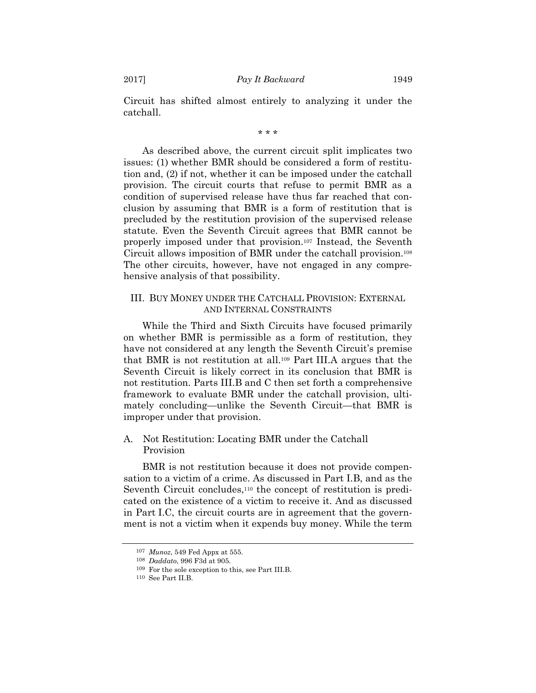Circuit has shifted almost entirely to analyzing it under the catchall.

\* \* \*

As described above, the current circuit split implicates two issues: (1) whether BMR should be considered a form of restitution and, (2) if not, whether it can be imposed under the catchall provision. The circuit courts that refuse to permit BMR as a condition of supervised release have thus far reached that conclusion by assuming that BMR is a form of restitution that is precluded by the restitution provision of the supervised release statute. Even the Seventh Circuit agrees that BMR cannot be properly imposed under that provision.107 Instead, the Seventh Circuit allows imposition of BMR under the catchall provision.108 The other circuits, however, have not engaged in any comprehensive analysis of that possibility.

#### III. BUY MONEY UNDER THE CATCHALL PROVISION: EXTERNAL AND INTERNAL CONSTRAINTS

While the Third and Sixth Circuits have focused primarily on whether BMR is permissible as a form of restitution, they have not considered at any length the Seventh Circuit's premise that BMR is not restitution at all.109 Part III.A argues that the Seventh Circuit is likely correct in its conclusion that BMR is not restitution. Parts III.B and C then set forth a comprehensive framework to evaluate BMR under the catchall provision, ultimately concluding—unlike the Seventh Circuit—that BMR is improper under that provision.

## A. Not Restitution: Locating BMR under the Catchall Provision

BMR is not restitution because it does not provide compensation to a victim of a crime. As discussed in Part I.B, and as the Seventh Circuit concludes,<sup>110</sup> the concept of restitution is predicated on the existence of a victim to receive it. And as discussed in Part I.C, the circuit courts are in agreement that the government is not a victim when it expends buy money. While the term

<sup>107</sup> *Munoz*, 549 Fed Appx at 555.

<sup>108</sup> *Daddato*, 996 F3d at 905.

<sup>109</sup> For the sole exception to this, see Part III.B.

<sup>110</sup> See Part II.B.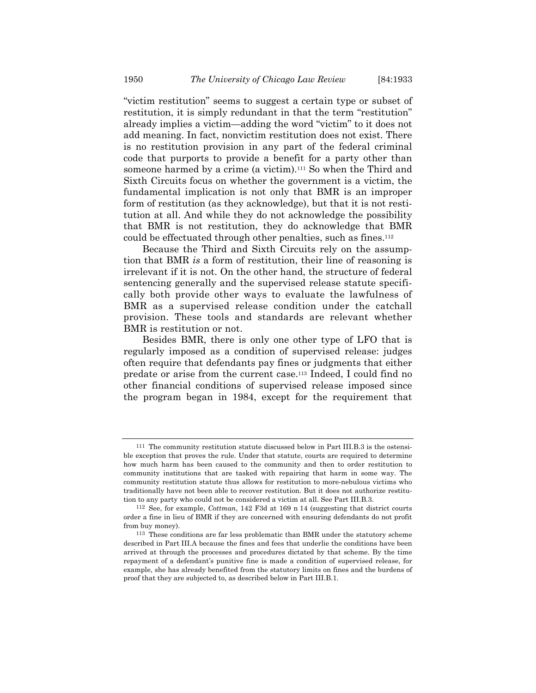"victim restitution" seems to suggest a certain type or subset of restitution, it is simply redundant in that the term "restitution" already implies a victim—adding the word "victim" to it does not add meaning. In fact, nonvictim restitution does not exist. There is no restitution provision in any part of the federal criminal code that purports to provide a benefit for a party other than someone harmed by a crime (a victim).<sup>111</sup> So when the Third and Sixth Circuits focus on whether the government is a victim, the fundamental implication is not only that BMR is an improper form of restitution (as they acknowledge), but that it is not restitution at all. And while they do not acknowledge the possibility that BMR is not restitution, they do acknowledge that BMR could be effectuated through other penalties, such as fines.112

Because the Third and Sixth Circuits rely on the assumption that BMR *is* a form of restitution, their line of reasoning is irrelevant if it is not. On the other hand, the structure of federal sentencing generally and the supervised release statute specifically both provide other ways to evaluate the lawfulness of BMR as a supervised release condition under the catchall provision. These tools and standards are relevant whether BMR is restitution or not.

Besides BMR, there is only one other type of LFO that is regularly imposed as a condition of supervised release: judges often require that defendants pay fines or judgments that either predate or arise from the current case.113 Indeed, I could find no other financial conditions of supervised release imposed since the program began in 1984, except for the requirement that

<sup>111</sup> The community restitution statute discussed below in Part III.B.3 is the ostensible exception that proves the rule. Under that statute, courts are required to determine how much harm has been caused to the community and then to order restitution to community institutions that are tasked with repairing that harm in some way. The community restitution statute thus allows for restitution to more-nebulous victims who traditionally have not been able to recover restitution. But it does not authorize restitution to any party who could not be considered a victim at all. See Part III.B.3.

<sup>112</sup> See, for example, *Cottman*, 142 F3d at 169 n 14 (suggesting that district courts order a fine in lieu of BMR if they are concerned with ensuring defendants do not profit from buy money).

<sup>113</sup> These conditions are far less problematic than BMR under the statutory scheme described in Part III.A because the fines and fees that underlie the conditions have been arrived at through the processes and procedures dictated by that scheme. By the time repayment of a defendant's punitive fine is made a condition of supervised release, for example, she has already benefited from the statutory limits on fines and the burdens of proof that they are subjected to, as described below in Part III.B.1.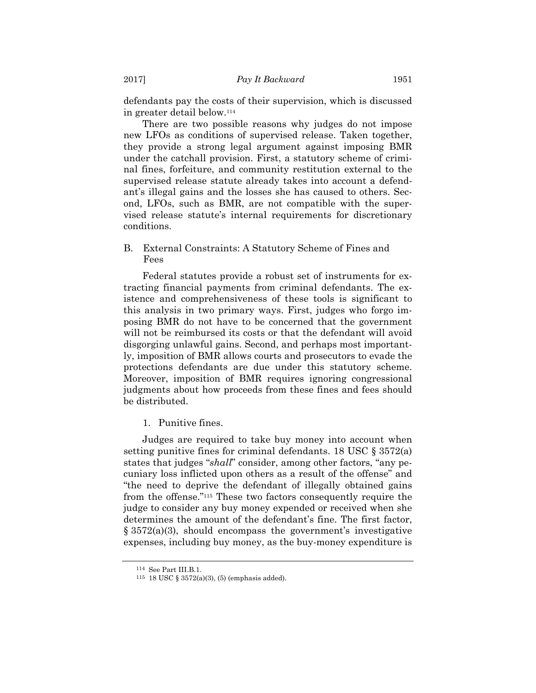defendants pay the costs of their supervision, which is discussed in greater detail below.114

There are two possible reasons why judges do not impose new LFOs as conditions of supervised release. Taken together, they provide a strong legal argument against imposing BMR under the catchall provision. First, a statutory scheme of criminal fines, forfeiture, and community restitution external to the supervised release statute already takes into account a defendant's illegal gains and the losses she has caused to others. Second, LFOs, such as BMR, are not compatible with the supervised release statute's internal requirements for discretionary conditions.

B. External Constraints: A Statutory Scheme of Fines and Fees

Federal statutes provide a robust set of instruments for extracting financial payments from criminal defendants. The existence and comprehensiveness of these tools is significant to this analysis in two primary ways. First, judges who forgo imposing BMR do not have to be concerned that the government will not be reimbursed its costs or that the defendant will avoid disgorging unlawful gains. Second, and perhaps most importantly, imposition of BMR allows courts and prosecutors to evade the protections defendants are due under this statutory scheme. Moreover, imposition of BMR requires ignoring congressional judgments about how proceeds from these fines and fees should be distributed.

1. Punitive fines.

Judges are required to take buy money into account when setting punitive fines for criminal defendants. 18 USC § 3572(a) states that judges "*shall*" consider, among other factors, "any pecuniary loss inflicted upon others as a result of the offense" and "the need to deprive the defendant of illegally obtained gains from the offense."115 These two factors consequently require the judge to consider any buy money expended or received when she determines the amount of the defendant's fine. The first factor,  $\S 3572(a)(3)$ , should encompass the government's investigative expenses, including buy money, as the buy-money expenditure is

<sup>114</sup> See Part III.B.1.

<sup>115 18</sup> USC § 3572(a)(3), (5) (emphasis added).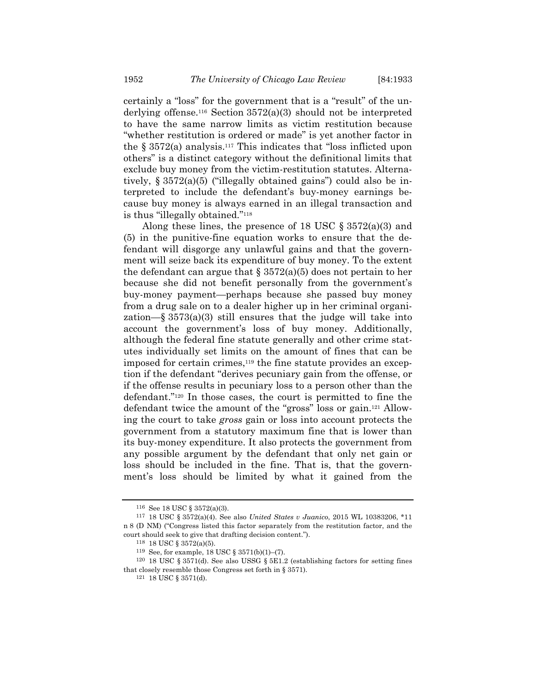certainly a "loss" for the government that is a "result" of the underlying offense.<sup>116</sup> Section  $3572(a)(3)$  should not be interpreted to have the same narrow limits as victim restitution because "whether restitution is ordered or made" is yet another factor in the  $\S 3572(a)$  analysis.<sup>117</sup> This indicates that "loss inflicted upon others" is a distinct category without the definitional limits that exclude buy money from the victim-restitution statutes. Alternatively,  $\S 3572(a)(5)$  ("illegally obtained gains") could also be interpreted to include the defendant's buy-money earnings because buy money is always earned in an illegal transaction and is thus "illegally obtained."118

Along these lines, the presence of 18 USC  $\S 3572(a)(3)$  and (5) in the punitive-fine equation works to ensure that the defendant will disgorge any unlawful gains and that the government will seize back its expenditure of buy money. To the extent the defendant can argue that  $\S 3572(a)(5)$  does not pertain to her because she did not benefit personally from the government's buy-money payment—perhaps because she passed buy money from a drug sale on to a dealer higher up in her criminal organization—§ 3573(a)(3) still ensures that the judge will take into account the government's loss of buy money. Additionally, although the federal fine statute generally and other crime statutes individually set limits on the amount of fines that can be imposed for certain crimes,<sup>119</sup> the fine statute provides an exception if the defendant "derives pecuniary gain from the offense, or if the offense results in pecuniary loss to a person other than the defendant."120 In those cases, the court is permitted to fine the defendant twice the amount of the "gross" loss or gain.121 Allowing the court to take *gross* gain or loss into account protects the government from a statutory maximum fine that is lower than its buy-money expenditure. It also protects the government from any possible argument by the defendant that only net gain or loss should be included in the fine. That is, that the government's loss should be limited by what it gained from the

<sup>116</sup> See 18 USC § 3572(a)(3).

<sup>117 18</sup> USC § 3572(a)(4). See also *United States v Juanico*, 2015 WL 10383206, \*11 n 8 (D NM) ("Congress listed this factor separately from the restitution factor, and the court should seek to give that drafting decision content.").

<sup>118 18</sup> USC § 3572(a)(5). 119 See, for example, 18 USC § 3571(b)(1)–(7).

<sup>120 18</sup> USC § 3571(d). See also USSG § 5E1.2 (establishing factors for setting fines that closely resemble those Congress set forth in § 3571).

<sup>121 18</sup> USC § 3571(d).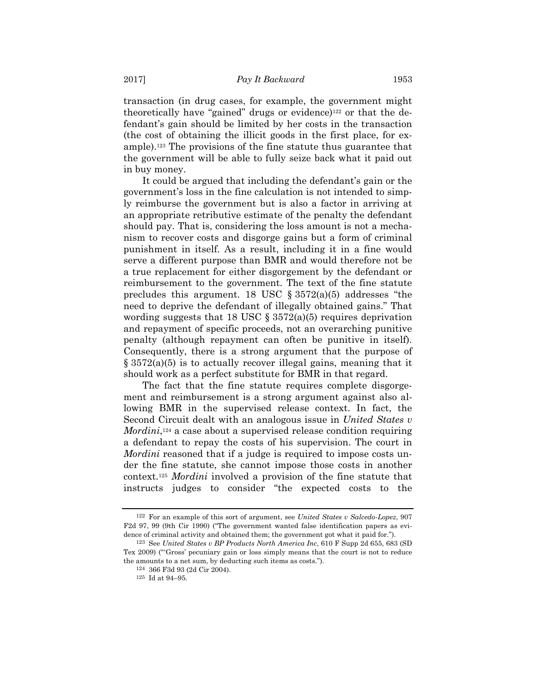transaction (in drug cases, for example, the government might theoretically have "gained" drugs or evidence)<sup>122</sup> or that the defendant's gain should be limited by her costs in the transaction (the cost of obtaining the illicit goods in the first place, for example).123 The provisions of the fine statute thus guarantee that the government will be able to fully seize back what it paid out in buy money.

It could be argued that including the defendant's gain or the government's loss in the fine calculation is not intended to simply reimburse the government but is also a factor in arriving at an appropriate retributive estimate of the penalty the defendant should pay. That is, considering the loss amount is not a mechanism to recover costs and disgorge gains but a form of criminal punishment in itself. As a result, including it in a fine would serve a different purpose than BMR and would therefore not be a true replacement for either disgorgement by the defendant or reimbursement to the government. The text of the fine statute precludes this argument. 18 USC  $\S 3572(a)(5)$  addresses "the need to deprive the defendant of illegally obtained gains." That wording suggests that 18 USC  $\S 3572(a)(5)$  requires deprivation and repayment of specific proceeds, not an overarching punitive penalty (although repayment can often be punitive in itself). Consequently, there is a strong argument that the purpose of  $\S 3572(a)(5)$  is to actually recover illegal gains, meaning that it should work as a perfect substitute for BMR in that regard.

The fact that the fine statute requires complete disgorgement and reimbursement is a strong argument against also allowing BMR in the supervised release context. In fact, the Second Circuit dealt with an analogous issue in *United States v Mordini*,<sup>124</sup> a case about a supervised release condition requiring a defendant to repay the costs of his supervision. The court in *Mordini* reasoned that if a judge is required to impose costs under the fine statute, she cannot impose those costs in another context.125 *Mordini* involved a provision of the fine statute that instructs judges to consider "the expected costs to the

<sup>122</sup> For an example of this sort of argument, see *United States v Salcedo-Lopez*, 907 F2d 97, 99 (9th Cir 1990) ("The government wanted false identification papers as evidence of criminal activity and obtained them; the government got what it paid for.").

<sup>123</sup> See *United States v BP Products North America Inc*, 610 F Supp 2d 655, 683 (SD Tex 2009) ("'Gross' pecuniary gain or loss simply means that the court is not to reduce the amounts to a net sum, by deducting such items as costs.").

<sup>124 366</sup> F3d 93 (2d Cir 2004).

<sup>125</sup> Id at 94–95.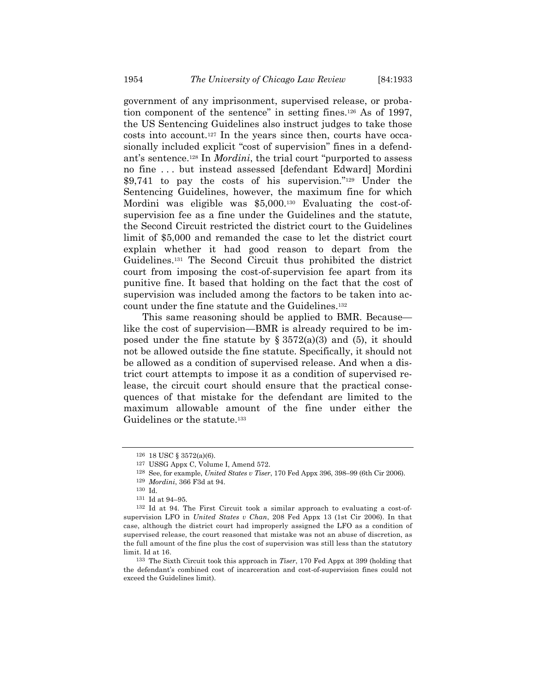government of any imprisonment, supervised release, or probation component of the sentence" in setting fines.126 As of 1997, the US Sentencing Guidelines also instruct judges to take those costs into account.127 In the years since then, courts have occasionally included explicit "cost of supervision" fines in a defendant's sentence.128 In *Mordini*, the trial court "purported to assess no fine . . . but instead assessed [defendant Edward] Mordini \$9,741 to pay the costs of his supervision."129 Under the Sentencing Guidelines, however, the maximum fine for which Mordini was eligible was \$5,000.<sup>130</sup> Evaluating the cost-ofsupervision fee as a fine under the Guidelines and the statute, the Second Circuit restricted the district court to the Guidelines limit of \$5,000 and remanded the case to let the district court explain whether it had good reason to depart from the Guidelines.131 The Second Circuit thus prohibited the district court from imposing the cost-of-supervision fee apart from its punitive fine. It based that holding on the fact that the cost of supervision was included among the factors to be taken into account under the fine statute and the Guidelines.132

This same reasoning should be applied to BMR. Because like the cost of supervision—BMR is already required to be imposed under the fine statute by  $\S 3572(a)(3)$  and (5), it should not be allowed outside the fine statute. Specifically, it should not be allowed as a condition of supervised release. And when a district court attempts to impose it as a condition of supervised release, the circuit court should ensure that the practical consequences of that mistake for the defendant are limited to the maximum allowable amount of the fine under either the Guidelines or the statute.<sup>133</sup>

<sup>126 18</sup> USC § 3572(a)(6).

<sup>127</sup> USSG Appx C, Volume I, Amend 572.

<sup>128</sup> See, for example, *United States v Tiser*, 170 Fed Appx 396, 398–99 (6th Cir 2006).

<sup>129</sup> *Mordini*, 366 F3d at 94.

<sup>&</sup>lt;sup>131</sup> Id at 94–95.

<sup>132</sup> Id at 94. The First Circuit took a similar approach to evaluating a cost-ofsupervision LFO in *United States v Chan*, 208 Fed Appx 13 (1st Cir 2006). In that case, although the district court had improperly assigned the LFO as a condition of supervised release, the court reasoned that mistake was not an abuse of discretion, as the full amount of the fine plus the cost of supervision was still less than the statutory limit. Id at 16.

<sup>133</sup> The Sixth Circuit took this approach in *Tiser*, 170 Fed Appx at 399 (holding that the defendant's combined cost of incarceration and cost-of-supervision fines could not exceed the Guidelines limit).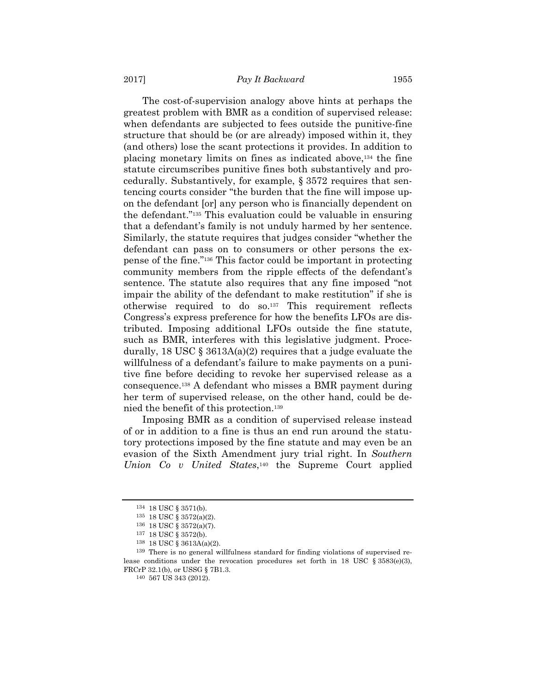The cost-of-supervision analogy above hints at perhaps the greatest problem with BMR as a condition of supervised release: when defendants are subjected to fees outside the punitive-fine structure that should be (or are already) imposed within it, they (and others) lose the scant protections it provides. In addition to placing monetary limits on fines as indicated above,134 the fine statute circumscribes punitive fines both substantively and procedurally. Substantively, for example, § 3572 requires that sentencing courts consider "the burden that the fine will impose upon the defendant [or] any person who is financially dependent on the defendant."135 This evaluation could be valuable in ensuring that a defendant's family is not unduly harmed by her sentence. Similarly, the statute requires that judges consider "whether the defendant can pass on to consumers or other persons the expense of the fine."136 This factor could be important in protecting community members from the ripple effects of the defendant's sentence. The statute also requires that any fine imposed "not impair the ability of the defendant to make restitution" if she is otherwise required to do so.137 This requirement reflects Congress's express preference for how the benefits LFOs are distributed. Imposing additional LFOs outside the fine statute, such as BMR, interferes with this legislative judgment. Procedurally, 18 USC  $\S 3613A(a)(2)$  requires that a judge evaluate the willfulness of a defendant's failure to make payments on a punitive fine before deciding to revoke her supervised release as a consequence.138 A defendant who misses a BMR payment during her term of supervised release, on the other hand, could be denied the benefit of this protection.139

Imposing BMR as a condition of supervised release instead of or in addition to a fine is thus an end run around the statutory protections imposed by the fine statute and may even be an evasion of the Sixth Amendment jury trial right. In *Southern Union Co v United States*,140 the Supreme Court applied

<sup>134 18</sup> USC § 3571(b).

<sup>135 18</sup> USC § 3572(a)(2). 136 18 USC § 3572(a)(7).

<sup>137 18</sup> USC § 3572(b).<br>138 18 USC § 3613A(a)(2).

<sup>&</sup>lt;sup>139</sup> There is no general willfulness standard for finding violations of supervised release conditions under the revocation procedures set forth in 18 USC  $\S 3583(e)(3)$ , FRCrP 32.1(b), or USSG § 7B1.3.

<sup>140 567</sup> US 343 (2012).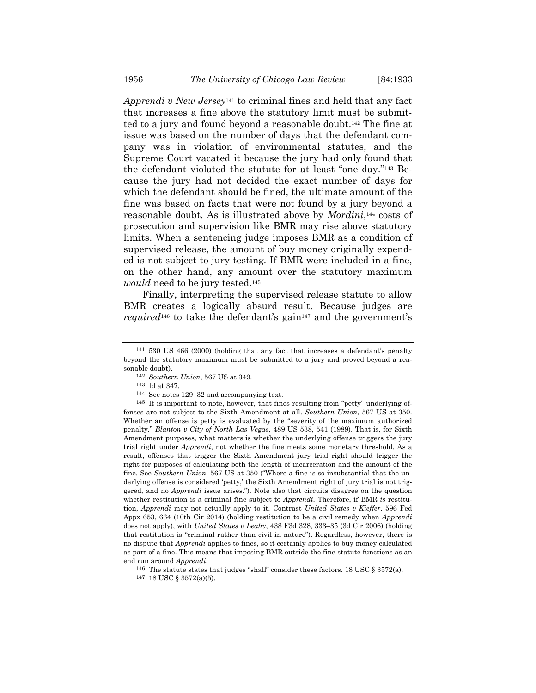*Apprendi v New Jersey*141 to criminal fines and held that any fact that increases a fine above the statutory limit must be submitted to a jury and found beyond a reasonable doubt.142 The fine at issue was based on the number of days that the defendant company was in violation of environmental statutes, and the Supreme Court vacated it because the jury had only found that the defendant violated the statute for at least "one day."143 Because the jury had not decided the exact number of days for which the defendant should be fined, the ultimate amount of the fine was based on facts that were not found by a jury beyond a reasonable doubt. As is illustrated above by *Mordini*,144 costs of prosecution and supervision like BMR may rise above statutory limits. When a sentencing judge imposes BMR as a condition of supervised release, the amount of buy money originally expended is not subject to jury testing. If BMR were included in a fine, on the other hand, any amount over the statutory maximum *would* need to be jury tested.145

Finally, interpreting the supervised release statute to allow BMR creates a logically absurd result. Because judges are *required*<sup>146</sup> to take the defendant's gain<sup>147</sup> and the government's

<sup>141 530</sup> US 466 (2000) (holding that any fact that increases a defendant's penalty beyond the statutory maximum must be submitted to a jury and proved beyond a reasonable doubt).

<sup>142</sup> *Southern Union*, 567 US at 349.

<sup>143</sup> Id at 347.

<sup>144</sup> See notes 129–32 and accompanying text.

<sup>145</sup> It is important to note, however, that fines resulting from "petty" underlying offenses are not subject to the Sixth Amendment at all. *Southern Union*, 567 US at 350. Whether an offense is petty is evaluated by the "severity of the maximum authorized penalty." *Blanton v City of North Las Vegas*, 489 US 538, 541 (1989). That is, for Sixth Amendment purposes, what matters is whether the underlying offense triggers the jury trial right under *Apprendi*, not whether the fine meets some monetary threshold. As a result, offenses that trigger the Sixth Amendment jury trial right should trigger the right for purposes of calculating both the length of incarceration and the amount of the fine. See *Southern Union*, 567 US at 350 ("Where a fine is so insubstantial that the underlying offense is considered 'petty,' the Sixth Amendment right of jury trial is not triggered, and no *Apprendi* issue arises."). Note also that circuits disagree on the question whether restitution is a criminal fine subject to *Apprendi*. Therefore, if BMR *is* restitution, *Apprendi* may not actually apply to it. Contrast *United States v Kieffer*, 596 Fed Appx 653, 664 (10th Cir 2014) (holding restitution to be a civil remedy when *Apprendi* does not apply), with *United States v Leahy*, 438 F3d 328, 333–35 (3d Cir 2006) (holding that restitution is "criminal rather than civil in nature"). Regardless, however, there is no dispute that *Apprendi* applies to fines, so it certainly applies to buy money calculated as part of a fine. This means that imposing BMR outside the fine statute functions as an end run around *Apprendi*.

<sup>&</sup>lt;sup>146</sup> The statute states that judges "shall" consider these factors. 18 USC  $\S 3572(a)$ .

<sup>147 18</sup> USC § 3572(a)(5).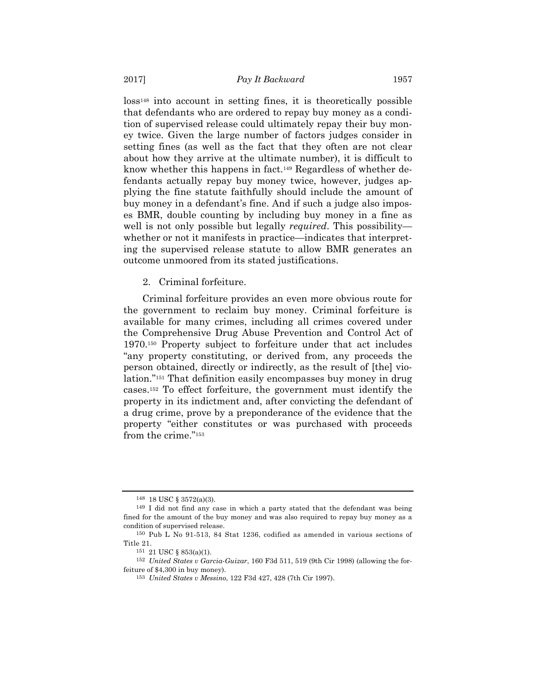loss148 into account in setting fines, it is theoretically possible that defendants who are ordered to repay buy money as a condition of supervised release could ultimately repay their buy money twice. Given the large number of factors judges consider in setting fines (as well as the fact that they often are not clear about how they arrive at the ultimate number), it is difficult to know whether this happens in fact.149 Regardless of whether defendants actually repay buy money twice, however, judges applying the fine statute faithfully should include the amount of buy money in a defendant's fine. And if such a judge also imposes BMR, double counting by including buy money in a fine as well is not only possible but legally *required*. This possibility whether or not it manifests in practice—indicates that interpreting the supervised release statute to allow BMR generates an outcome unmoored from its stated justifications.

2. Criminal forfeiture.

Criminal forfeiture provides an even more obvious route for the government to reclaim buy money. Criminal forfeiture is available for many crimes, including all crimes covered under the Comprehensive Drug Abuse Prevention and Control Act of 1970.150 Property subject to forfeiture under that act includes "any property constituting, or derived from, any proceeds the person obtained, directly or indirectly, as the result of [the] violation."151 That definition easily encompasses buy money in drug cases.152 To effect forfeiture, the government must identify the property in its indictment and, after convicting the defendant of a drug crime, prove by a preponderance of the evidence that the property "either constitutes or was purchased with proceeds from the crime."153

<sup>148 18</sup> USC § 3572(a)(3).

<sup>149</sup> I did not find any case in which a party stated that the defendant was being fined for the amount of the buy money and was also required to repay buy money as a condition of supervised release.

<sup>150</sup> Pub L No 91-513, 84 Stat 1236, codified as amended in various sections of Title 21.

<sup>151 21</sup> USC § 853(a)(1).

<sup>152</sup> *United States v Garcia-Guizar*, 160 F3d 511, 519 (9th Cir 1998) (allowing the forfeiture of \$4,300 in buy money).

<sup>153</sup> *United States v Messino*, 122 F3d 427, 428 (7th Cir 1997).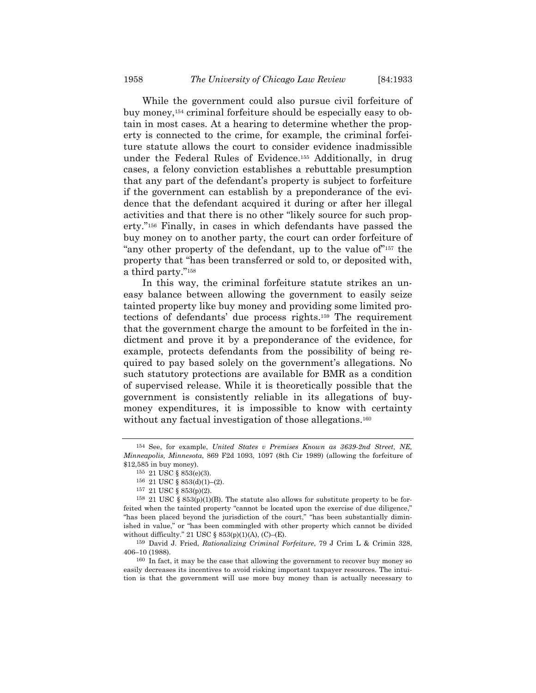While the government could also pursue civil forfeiture of buy money,154 criminal forfeiture should be especially easy to obtain in most cases. At a hearing to determine whether the property is connected to the crime, for example, the criminal forfeiture statute allows the court to consider evidence inadmissible under the Federal Rules of Evidence.155 Additionally, in drug cases, a felony conviction establishes a rebuttable presumption that any part of the defendant's property is subject to forfeiture if the government can establish by a preponderance of the evidence that the defendant acquired it during or after her illegal activities and that there is no other "likely source for such property."156 Finally, in cases in which defendants have passed the buy money on to another party, the court can order forfeiture of "any other property of the defendant, up to the value of"<sup>157</sup> the property that "has been transferred or sold to, or deposited with, a third party."158

In this way, the criminal forfeiture statute strikes an uneasy balance between allowing the government to easily seize tainted property like buy money and providing some limited protections of defendants' due process rights.159 The requirement that the government charge the amount to be forfeited in the indictment and prove it by a preponderance of the evidence, for example, protects defendants from the possibility of being required to pay based solely on the government's allegations. No such statutory protections are available for BMR as a condition of supervised release. While it is theoretically possible that the government is consistently reliable in its allegations of buymoney expenditures, it is impossible to know with certainty without any factual investigation of those allegations.<sup>160</sup>

160 In fact, it may be the case that allowing the government to recover buy money so easily decreases its incentives to avoid risking important taxpayer resources. The intuition is that the government will use more buy money than is actually necessary to

<sup>154</sup> See, for example, *United States v Premises Known as 3639-2nd Street, NE, Minneapolis, Minnesota*, 869 F2d 1093, 1097 (8th Cir 1989) (allowing the forfeiture of \$12,585 in buy money).

<sup>155 21</sup> USC § 853(e)(3).

<sup>156 21</sup> USC § 853(d)(1)-(2).<br>157 21 USC § 853(p)(2).

<sup>&</sup>lt;sup>158</sup> 21 USC § 853(p)(1)(B). The statute also allows for substitute property to be forfeited when the tainted property "cannot be located upon the exercise of due diligence," "has been placed beyond the jurisdiction of the court," "has been substantially diminished in value," or "has been commingled with other property which cannot be divided without difficulty." 21 USC § 853(p)(1)(A), (C)–(E).

<sup>159</sup> David J. Fried, *Rationalizing Criminal Forfeiture*, 79 J Crim L & Crimin 328, 406–10 (1988).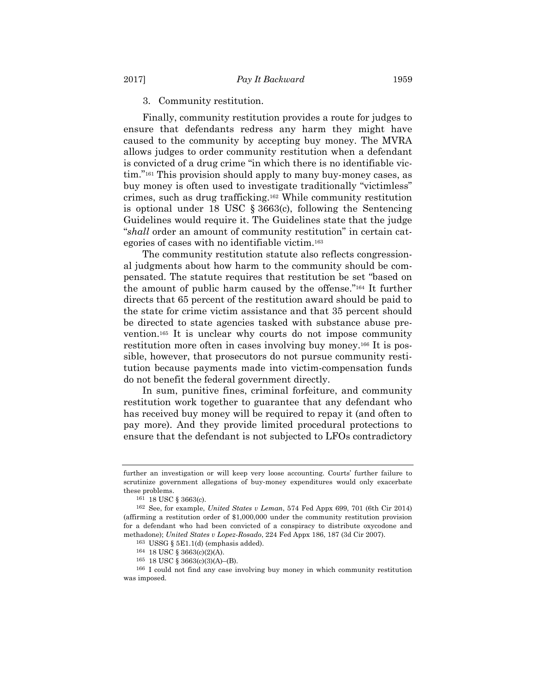#### 3. Community restitution.

Finally, community restitution provides a route for judges to ensure that defendants redress any harm they might have caused to the community by accepting buy money. The MVRA allows judges to order community restitution when a defendant is convicted of a drug crime "in which there is no identifiable victim."161 This provision should apply to many buy-money cases, as buy money is often used to investigate traditionally "victimless" crimes, such as drug trafficking.162 While community restitution is optional under 18 USC § 3663(c), following the Sentencing Guidelines would require it. The Guidelines state that the judge "*shall* order an amount of community restitution" in certain categories of cases with no identifiable victim.163

The community restitution statute also reflects congressional judgments about how harm to the community should be compensated. The statute requires that restitution be set "based on the amount of public harm caused by the offense."164 It further directs that 65 percent of the restitution award should be paid to the state for crime victim assistance and that 35 percent should be directed to state agencies tasked with substance abuse prevention.165 It is unclear why courts do not impose community restitution more often in cases involving buy money.166 It is possible, however, that prosecutors do not pursue community restitution because payments made into victim-compensation funds do not benefit the federal government directly.

In sum, punitive fines, criminal forfeiture, and community restitution work together to guarantee that any defendant who has received buy money will be required to repay it (and often to pay more). And they provide limited procedural protections to ensure that the defendant is not subjected to LFOs contradictory

further an investigation or will keep very loose accounting. Courts' further failure to scrutinize government allegations of buy-money expenditures would only exacerbate these problems.

<sup>161 18</sup> USC § 3663(c).

<sup>162</sup> See, for example, *United States v Leman*, 574 Fed Appx 699, 701 (6th Cir 2014) (affirming a restitution order of \$1,000,000 under the community restitution provision for a defendant who had been convicted of a conspiracy to distribute oxycodone and methadone); *United States v Lopez-Rosado*, 224 Fed Appx 186, 187 (3d Cir 2007).

<sup>163</sup> USSG § 5E1.1(d) (emphasis added). 164 18 USC § 3663(c)(2)(A).

<sup>165 18</sup> USC § 3663(c)(3)(A)–(B).

<sup>166</sup> I could not find any case involving buy money in which community restitution was imposed.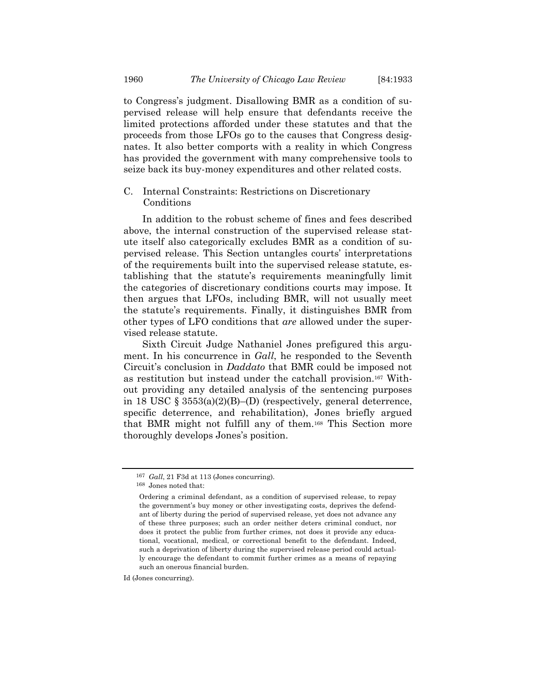to Congress's judgment. Disallowing BMR as a condition of supervised release will help ensure that defendants receive the limited protections afforded under these statutes and that the proceeds from those LFOs go to the causes that Congress designates. It also better comports with a reality in which Congress has provided the government with many comprehensive tools to seize back its buy-money expenditures and other related costs.

## C. Internal Constraints: Restrictions on Discretionary Conditions

In addition to the robust scheme of fines and fees described above, the internal construction of the supervised release statute itself also categorically excludes BMR as a condition of supervised release. This Section untangles courts' interpretations of the requirements built into the supervised release statute, establishing that the statute's requirements meaningfully limit the categories of discretionary conditions courts may impose. It then argues that LFOs, including BMR, will not usually meet the statute's requirements. Finally, it distinguishes BMR from other types of LFO conditions that *are* allowed under the supervised release statute.

Sixth Circuit Judge Nathaniel Jones prefigured this argument. In his concurrence in *Gall*, he responded to the Seventh Circuit's conclusion in *Daddato* that BMR could be imposed not as restitution but instead under the catchall provision.167 Without providing any detailed analysis of the sentencing purposes in 18 USC  $\S 3553(a)(2)(B)$ –(D) (respectively, general deterrence, specific deterrence, and rehabilitation), Jones briefly argued that BMR might not fulfill any of them.168 This Section more thoroughly develops Jones's position.

Id (Jones concurring).

<sup>167</sup> *Gall*, 21 F3d at 113 (Jones concurring).

<sup>168</sup> Jones noted that:

Ordering a criminal defendant, as a condition of supervised release, to repay the government's buy money or other investigating costs, deprives the defendant of liberty during the period of supervised release, yet does not advance any of these three purposes; such an order neither deters criminal conduct, nor does it protect the public from further crimes, not does it provide any educational, vocational, medical, or correctional benefit to the defendant. Indeed, such a deprivation of liberty during the supervised release period could actually encourage the defendant to commit further crimes as a means of repaying such an onerous financial burden.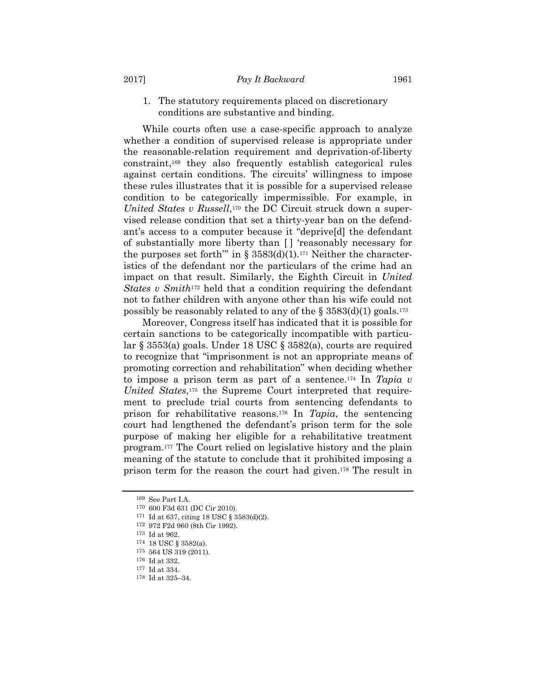#### 1. The statutory requirements placed on discretionary conditions are substantive and binding.

While courts often use a case-specific approach to analyze whether a condition of supervised release is appropriate under the reasonable-relation requirement and deprivation-of-liberty constraint,169 they also frequently establish categorical rules against certain conditions. The circuits' willingness to impose these rules illustrates that it is possible for a supervised release condition to be categorically impermissible. For example, in *United States v Russell*,<sup>170</sup> the DC Circuit struck down a supervised release condition that set a thirty-year ban on the defendant's access to a computer because it "deprive[d] the defendant of substantially more liberty than [ ] 'reasonably necessary for the purposes set forth<sup>""</sup> in § 3583(d)(1).<sup>171</sup> Neither the characteristics of the defendant nor the particulars of the crime had an impact on that result. Similarly, the Eighth Circuit in *United States v Smith*172 held that a condition requiring the defendant not to father children with anyone other than his wife could not possibly be reasonably related to any of the  $\S 3583(d)(1)$  goals.<sup>173</sup>

Moreover, Congress itself has indicated that it is possible for certain sanctions to be categorically incompatible with particular § 3553(a) goals. Under 18 USC § 3582(a), courts are required to recognize that "imprisonment is not an appropriate means of promoting correction and rehabilitation" when deciding whether to impose a prison term as part of a sentence.174 In *Tapia v United States*,175 the Supreme Court interpreted that requirement to preclude trial courts from sentencing defendants to prison for rehabilitative reasons.176 In *Tapia*, the sentencing court had lengthened the defendant's prison term for the sole purpose of making her eligible for a rehabilitative treatment program.177 The Court relied on legislative history and the plain meaning of the statute to conclude that it prohibited imposing a prison term for the reason the court had given.178 The result in

<sup>169</sup> See Part I.A.

<sup>170 600</sup> F3d 631 (DC Cir 2010).

<sup>171</sup> Id at 637, citing 18 USC § 3583(d)(2).<br><sup>172</sup> 972 F2d 960 (8th Cir 1992).

<sup>&</sup>lt;sup>173</sup> Id at 962.<br><sup>174</sup> 18 USC § 3582(a).

 $175$  564 US 319 (2011).

<sup>176</sup> Id at 332.

<sup>177</sup> Id at 334.

<sup>178</sup> Id at 325–34.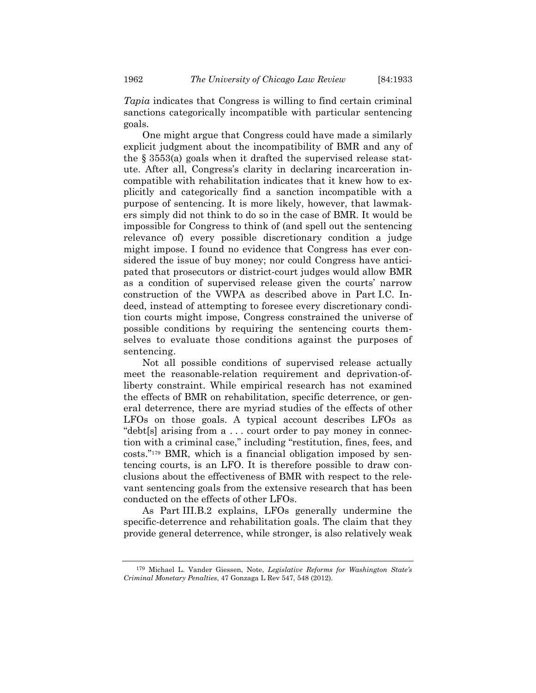*Tapia* indicates that Congress is willing to find certain criminal sanctions categorically incompatible with particular sentencing

goals. One might argue that Congress could have made a similarly explicit judgment about the incompatibility of BMR and any of the § 3553(a) goals when it drafted the supervised release statute. After all, Congress's clarity in declaring incarceration incompatible with rehabilitation indicates that it knew how to explicitly and categorically find a sanction incompatible with a purpose of sentencing. It is more likely, however, that lawmakers simply did not think to do so in the case of BMR. It would be impossible for Congress to think of (and spell out the sentencing relevance of) every possible discretionary condition a judge might impose. I found no evidence that Congress has ever considered the issue of buy money; nor could Congress have anticipated that prosecutors or district-court judges would allow BMR as a condition of supervised release given the courts' narrow construction of the VWPA as described above in Part I.C. Indeed, instead of attempting to foresee every discretionary condition courts might impose, Congress constrained the universe of possible conditions by requiring the sentencing courts themselves to evaluate those conditions against the purposes of sentencing.

Not all possible conditions of supervised release actually meet the reasonable-relation requirement and deprivation-ofliberty constraint. While empirical research has not examined the effects of BMR on rehabilitation, specific deterrence, or general deterrence, there are myriad studies of the effects of other LFOs on those goals. A typical account describes LFOs as "debt[s] arising from a . . . court order to pay money in connection with a criminal case," including "restitution, fines, fees, and costs."179 BMR, which is a financial obligation imposed by sentencing courts, is an LFO. It is therefore possible to draw conclusions about the effectiveness of BMR with respect to the relevant sentencing goals from the extensive research that has been conducted on the effects of other LFOs.

As Part III.B.2 explains, LFOs generally undermine the specific-deterrence and rehabilitation goals. The claim that they provide general deterrence, while stronger, is also relatively weak

<sup>179</sup> Michael L. Vander Giessen, Note, *Legislative Reforms for Washington State's Criminal Monetary Penalties*, 47 Gonzaga L Rev 547, 548 (2012).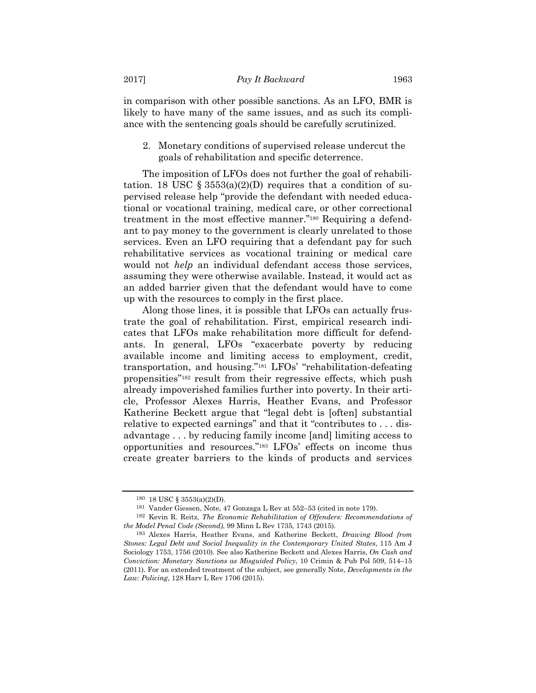in comparison with other possible sanctions. As an LFO, BMR is likely to have many of the same issues, and as such its compliance with the sentencing goals should be carefully scrutinized.

2. Monetary conditions of supervised release undercut the goals of rehabilitation and specific deterrence.

The imposition of LFOs does not further the goal of rehabilitation. 18 USC  $\S 3553(a)(2)(D)$  requires that a condition of supervised release help "provide the defendant with needed educational or vocational training, medical care, or other correctional treatment in the most effective manner."180 Requiring a defendant to pay money to the government is clearly unrelated to those services. Even an LFO requiring that a defendant pay for such rehabilitative services as vocational training or medical care would not *help* an individual defendant access those services, assuming they were otherwise available. Instead, it would act as an added barrier given that the defendant would have to come up with the resources to comply in the first place.

Along those lines, it is possible that LFOs can actually frustrate the goal of rehabilitation. First, empirical research indicates that LFOs make rehabilitation more difficult for defendants. In general, LFOs "exacerbate poverty by reducing available income and limiting access to employment, credit, transportation, and housing."181 LFOs' "rehabilitation-defeating propensities"182 result from their regressive effects, which push already impoverished families further into poverty. In their article, Professor Alexes Harris, Heather Evans, and Professor Katherine Beckett argue that "legal debt is [often] substantial relative to expected earnings" and that it "contributes to . . . disadvantage . . . by reducing family income [and] limiting access to opportunities and resources."183 LFOs' effects on income thus create greater barriers to the kinds of products and services

<sup>180 18</sup> USC § 3553(a)(2)(D).

<sup>181</sup> Vander Giessen, Note, 47 Gonzaga L Rev at 552–53 (cited in note 179).

<sup>182</sup> Kevin R. Reitz, *The Economic Rehabilitation of Offenders: Recommendations of the Model Penal Code (Second)*, 99 Minn L Rev 1735, 1743 (2015).

<sup>183</sup> Alexes Harris, Heather Evans, and Katherine Beckett, *Drawing Blood from Stones: Legal Debt and Social Inequality in the Contemporary United States*, 115 Am J Sociology 1753, 1756 (2010). See also Katherine Beckett and Alexes Harris, *On Cash and Conviction: Monetary Sanctions as Misguided Policy*, 10 Crimin & Pub Pol 509, 514–15 (2011). For an extended treatment of the subject, see generally Note, *Developments in the Law: Policing*, 128 Harv L Rev 1706 (2015).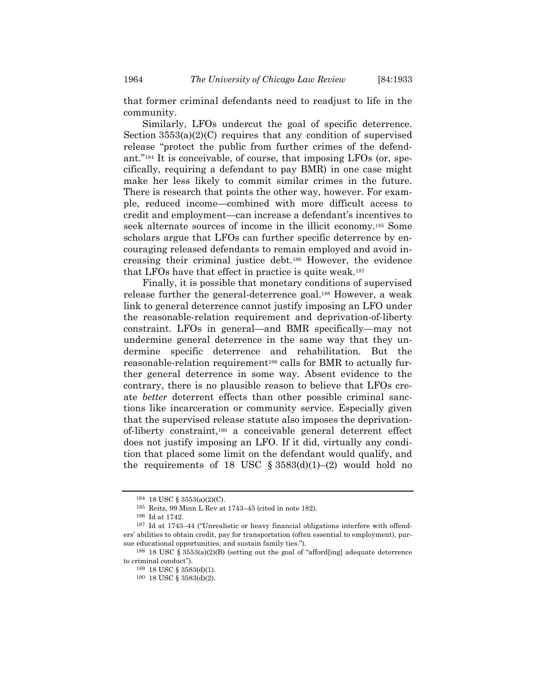that former criminal defendants need to readjust to life in the community.

Similarly, LFOs undercut the goal of specific deterrence. Section  $3553(a)(2)(C)$  requires that any condition of supervised release "protect the public from further crimes of the defendant."184 It is conceivable, of course, that imposing LFOs (or, specifically, requiring a defendant to pay BMR) in one case might make her less likely to commit similar crimes in the future. There is research that points the other way, however. For example, reduced income—combined with more difficult access to credit and employment—can increase a defendant's incentives to seek alternate sources of income in the illicit economy.185 Some scholars argue that LFOs can further specific deterrence by encouraging released defendants to remain employed and avoid increasing their criminal justice debt.186 However, the evidence that LFOs have that effect in practice is quite weak.187

Finally, it is possible that monetary conditions of supervised release further the general-deterrence goal.188 However, a weak link to general deterrence cannot justify imposing an LFO under the reasonable-relation requirement and deprivation-of-liberty constraint. LFOs in general—and BMR specifically—may not undermine general deterrence in the same way that they undermine specific deterrence and rehabilitation. But the reasonable-relation requirement<sup>189</sup> calls for BMR to actually further general deterrence in some way. Absent evidence to the contrary, there is no plausible reason to believe that LFOs create *better* deterrent effects than other possible criminal sanctions like incarceration or community service. Especially given that the supervised release statute also imposes the deprivationof-liberty constraint,190 a conceivable general deterrent effect does not justify imposing an LFO. If it did, virtually any condition that placed some limit on the defendant would qualify, and the requirements of 18 USC  $\S 3583(d)(1)–(2)$  would hold no

<sup>184 18</sup> USC § 3553(a)(2)(C).

<sup>185</sup> Reitz, 99 Minn L Rev at 1743–45 (cited in note 182).

<sup>&</sup>lt;sup>186</sup> Id at 1742.<br><sup>187</sup> Id at 1743–44 ("Unrealistic or heavy financial obligations interfere with offenders' abilities to obtain credit, pay for transportation (often essential to employment), pursue educational opportunities, and sustain family ties.").

<sup>188 18</sup> USC § 3553(a)(2)(B) (setting out the goal of "afford[ing] adequate deterrence to criminal conduct").

 $189\,$  18 USC  $\S$   $3583(\mathrm{d})(1).$ 

<sup>190 18</sup> USC § 3583(d)(2).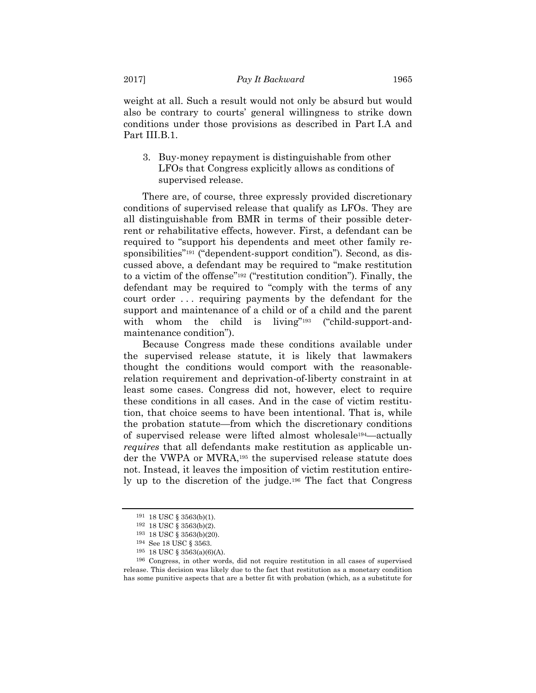weight at all. Such a result would not only be absurd but would also be contrary to courts' general willingness to strike down conditions under those provisions as described in Part I.A and Part III.B.1.

3. Buy-money repayment is distinguishable from other LFOs that Congress explicitly allows as conditions of supervised release.

There are, of course, three expressly provided discretionary conditions of supervised release that qualify as LFOs. They are all distinguishable from BMR in terms of their possible deterrent or rehabilitative effects, however. First, a defendant can be required to "support his dependents and meet other family responsibilities"191 ("dependent-support condition"). Second, as discussed above, a defendant may be required to "make restitution to a victim of the offense"192 ("restitution condition"). Finally, the defendant may be required to "comply with the terms of any court order . . . requiring payments by the defendant for the support and maintenance of a child or of a child and the parent with whom the child is living"<sup>193</sup> ("child-support-andmaintenance condition").

Because Congress made these conditions available under the supervised release statute, it is likely that lawmakers thought the conditions would comport with the reasonablerelation requirement and deprivation-of-liberty constraint in at least some cases. Congress did not, however, elect to require these conditions in all cases. And in the case of victim restitution, that choice seems to have been intentional. That is, while the probation statute—from which the discretionary conditions of supervised release were lifted almost wholesale194—actually *requires* that all defendants make restitution as applicable under the VWPA or MVRA,195 the supervised release statute does not. Instead, it leaves the imposition of victim restitution entirely up to the discretion of the judge.196 The fact that Congress

<sup>191 18</sup> USC § 3563(b)(1).<br>
<sup>192</sup> 18 USC § 3563(b)(2).

<sup>193 18</sup> USC § 3563(b)(20).

<sup>194</sup> See 18 USC § 3563.<br><sup>195</sup> 18 USC § 3563(a)(6)(A).

<sup>196</sup> Congress, in other words, did not require restitution in all cases of supervised release. This decision was likely due to the fact that restitution as a monetary condition has some punitive aspects that are a better fit with probation (which, as a substitute for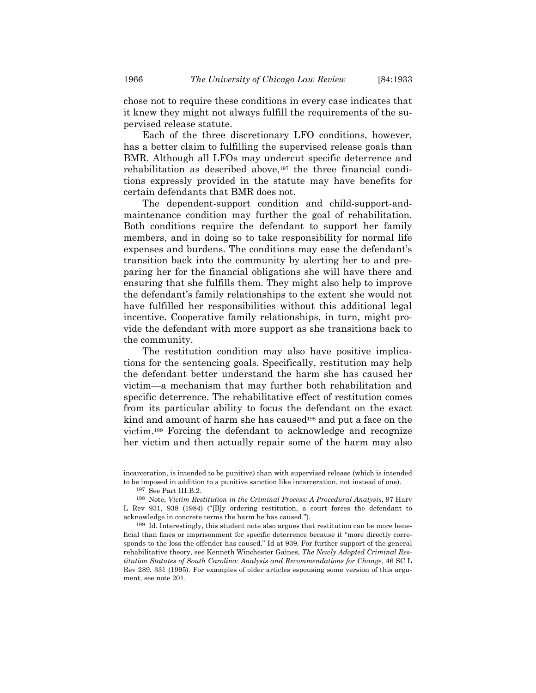chose not to require these conditions in every case indicates that it knew they might not always fulfill the requirements of the supervised release statute.

Each of the three discretionary LFO conditions, however, has a better claim to fulfilling the supervised release goals than BMR. Although all LFOs may undercut specific deterrence and rehabilitation as described above, $197$  the three financial conditions expressly provided in the statute may have benefits for certain defendants that BMR does not.

The dependent-support condition and child-support-andmaintenance condition may further the goal of rehabilitation. Both conditions require the defendant to support her family members, and in doing so to take responsibility for normal life expenses and burdens. The conditions may ease the defendant's transition back into the community by alerting her to and preparing her for the financial obligations she will have there and ensuring that she fulfills them. They might also help to improve the defendant's family relationships to the extent she would not have fulfilled her responsibilities without this additional legal incentive. Cooperative family relationships, in turn, might provide the defendant with more support as she transitions back to the community.

The restitution condition may also have positive implications for the sentencing goals. Specifically, restitution may help the defendant better understand the harm she has caused her victim—a mechanism that may further both rehabilitation and specific deterrence. The rehabilitative effect of restitution comes from its particular ability to focus the defendant on the exact kind and amount of harm she has caused<sup>198</sup> and put a face on the victim.199 Forcing the defendant to acknowledge and recognize her victim and then actually repair some of the harm may also

incarceration, is intended to be punitive) than with supervised release (which is intended to be imposed in addition to a punitive sanction like incarceration, not instead of one).

<sup>197</sup> See Part III.B.2.<br><sup>198</sup> Note, *Victim Restitution in the Criminal Process: A Procedural Analysis*, 97 Harv L Rev 931, 938 (1984) ("[B]y ordering restitution, a court forces the defendant to acknowledge in concrete terms the harm he has caused.").

<sup>199</sup> Id. Interestingly, this student note also argues that restitution can be more beneficial than fines or imprisonment for specific deterrence because it "more directly corresponds to the loss the offender has caused." Id at 939. For further support of the general rehabilitative theory, see Kenneth Winchester Gaines, *The Newly Adopted Criminal Restitution Statutes of South Carolina: Analysis and Recommendations for Change*, 46 SC L Rev 289, 331 (1995). For examples of older articles espousing some version of this argument, see note 201.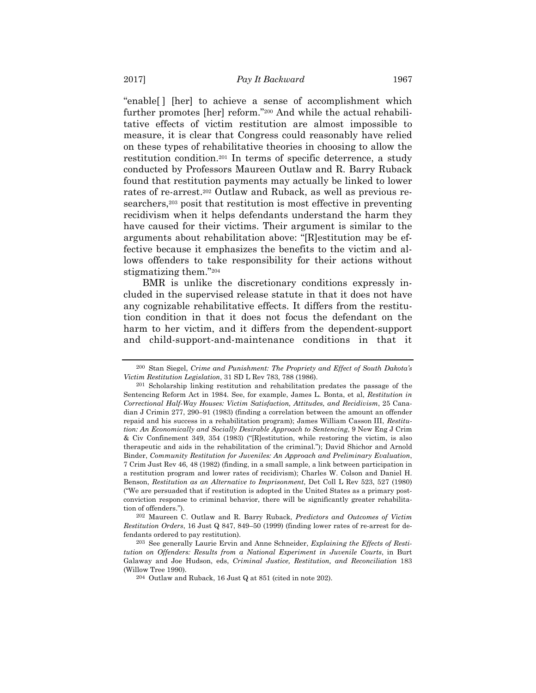"enable[ ] [her] to achieve a sense of accomplishment which further promotes [her] reform."200 And while the actual rehabilitative effects of victim restitution are almost impossible to measure, it is clear that Congress could reasonably have relied on these types of rehabilitative theories in choosing to allow the restitution condition.201 In terms of specific deterrence, a study conducted by Professors Maureen Outlaw and R. Barry Ruback found that restitution payments may actually be linked to lower rates of re-arrest.202 Outlaw and Ruback, as well as previous researchers,<sup>203</sup> posit that restitution is most effective in preventing recidivism when it helps defendants understand the harm they have caused for their victims. Their argument is similar to the arguments about rehabilitation above: "[R]estitution may be effective because it emphasizes the benefits to the victim and allows offenders to take responsibility for their actions without stigmatizing them."204

BMR is unlike the discretionary conditions expressly included in the supervised release statute in that it does not have any cognizable rehabilitative effects. It differs from the restitution condition in that it does not focus the defendant on the harm to her victim, and it differs from the dependent-support and child-support-and-maintenance conditions in that it

<sup>200</sup> Stan Siegel, *Crime and Punishment: The Propriety and Effect of South Dakota's Victim Restitution Legislation*, 31 SD L Rev 783, 788 (1986).

<sup>201</sup> Scholarship linking restitution and rehabilitation predates the passage of the Sentencing Reform Act in 1984. See, for example, James L. Bonta, et al, *Restitution in Correctional Half-Way Houses: Victim Satisfaction, Attitudes, and Recidivism*, 25 Canadian J Crimin 277, 290–91 (1983) (finding a correlation between the amount an offender repaid and his success in a rehabilitation program); James William Casson III, *Restitution: An Economically and Socially Desirable Approach to Sentencing*, 9 New Eng J Crim & Civ Confinement 349, 354 (1983) ("[R]estitution, while restoring the victim, is also therapeutic and aids in the rehabilitation of the criminal."); David Shichor and Arnold Binder, *Community Restitution for Juveniles: An Approach and Preliminary Evaluation*, 7 Crim Just Rev 46, 48 (1982) (finding, in a small sample, a link between participation in a restitution program and lower rates of recidivism); Charles W. Colson and Daniel H. Benson, *Restitution as an Alternative to Imprisonment*, Det Coll L Rev 523, 527 (1980) ("We are persuaded that if restitution is adopted in the United States as a primary postconviction response to criminal behavior, there will be significantly greater rehabilitation of offenders.").

<sup>202</sup> Maureen C. Outlaw and R. Barry Ruback, *Predictors and Outcomes of Victim Restitution Orders*, 16 Just Q 847, 849–50 (1999) (finding lower rates of re-arrest for defendants ordered to pay restitution).

<sup>203</sup> See generally Laurie Ervin and Anne Schneider, *Explaining the Effects of Restitution on Offenders: Results from a National Experiment in Juvenile Courts*, in Burt Galaway and Joe Hudson, eds, *Criminal Justice, Restitution, and Reconciliation* 183 (Willow Tree 1990).

<sup>204</sup> Outlaw and Ruback, 16 Just Q at 851 (cited in note 202).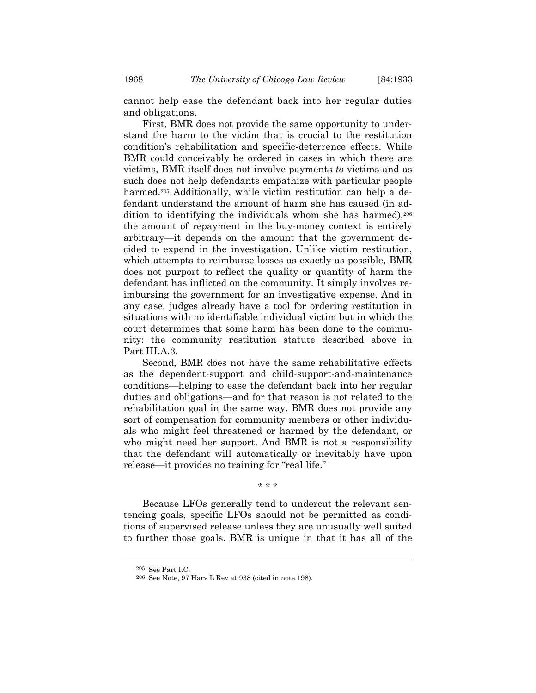cannot help ease the defendant back into her regular duties and obligations.

First, BMR does not provide the same opportunity to understand the harm to the victim that is crucial to the restitution condition's rehabilitation and specific-deterrence effects. While BMR could conceivably be ordered in cases in which there are victims, BMR itself does not involve payments *to* victims and as such does not help defendants empathize with particular people harmed.<sup>205</sup> Additionally, while victim restitution can help a defendant understand the amount of harm she has caused (in addition to identifying the individuals whom she has harmed), 206 the amount of repayment in the buy-money context is entirely arbitrary—it depends on the amount that the government decided to expend in the investigation. Unlike victim restitution, which attempts to reimburse losses as exactly as possible, BMR does not purport to reflect the quality or quantity of harm the defendant has inflicted on the community. It simply involves reimbursing the government for an investigative expense. And in any case, judges already have a tool for ordering restitution in situations with no identifiable individual victim but in which the court determines that some harm has been done to the community: the community restitution statute described above in Part III.A.3.

Second, BMR does not have the same rehabilitative effects as the dependent-support and child-support-and-maintenance conditions—helping to ease the defendant back into her regular duties and obligations—and for that reason is not related to the rehabilitation goal in the same way. BMR does not provide any sort of compensation for community members or other individuals who might feel threatened or harmed by the defendant, or who might need her support. And BMR is not a responsibility that the defendant will automatically or inevitably have upon release—it provides no training for "real life."

\* \* \*

Because LFOs generally tend to undercut the relevant sentencing goals, specific LFOs should not be permitted as conditions of supervised release unless they are unusually well suited to further those goals. BMR is unique in that it has all of the

<sup>205</sup> See Part I.C.

<sup>206</sup> See Note, 97 Harv L Rev at 938 (cited in note 198).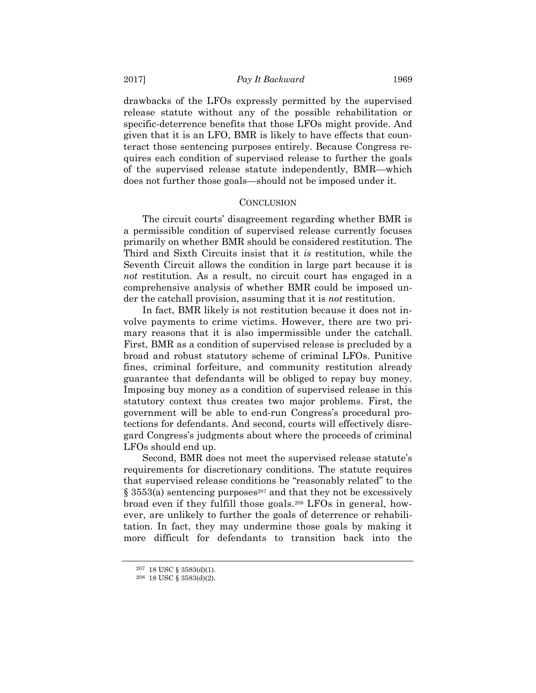drawbacks of the LFOs expressly permitted by the supervised release statute without any of the possible rehabilitation or specific-deterrence benefits that those LFOs might provide. And given that it is an LFO, BMR is likely to have effects that counteract those sentencing purposes entirely. Because Congress requires each condition of supervised release to further the goals of the supervised release statute independently, BMR—which does not further those goals—should not be imposed under it.

#### **CONCLUSION**

The circuit courts' disagreement regarding whether BMR is a permissible condition of supervised release currently focuses primarily on whether BMR should be considered restitution. The Third and Sixth Circuits insist that it *is* restitution, while the Seventh Circuit allows the condition in large part because it is *not* restitution. As a result, no circuit court has engaged in a comprehensive analysis of whether BMR could be imposed under the catchall provision, assuming that it is *not* restitution.

In fact, BMR likely is not restitution because it does not involve payments to crime victims. However, there are two primary reasons that it is also impermissible under the catchall. First, BMR as a condition of supervised release is precluded by a broad and robust statutory scheme of criminal LFOs. Punitive fines, criminal forfeiture, and community restitution already guarantee that defendants will be obliged to repay buy money. Imposing buy money as a condition of supervised release in this statutory context thus creates two major problems. First, the government will be able to end-run Congress's procedural protections for defendants. And second, courts will effectively disregard Congress's judgments about where the proceeds of criminal LFOs should end up.

Second, BMR does not meet the supervised release statute's requirements for discretionary conditions. The statute requires that supervised release conditions be "reasonably related" to the  $\S 3553(a)$  sentencing purposes<sup>207</sup> and that they not be excessively broad even if they fulfill those goals.208 LFOs in general, however, are unlikely to further the goals of deterrence or rehabilitation. In fact, they may undermine those goals by making it more difficult for defendants to transition back into the

<sup>207 18</sup> USC § 3583(d)(1).

<sup>208 18</sup> USC § 3583(d)(2).